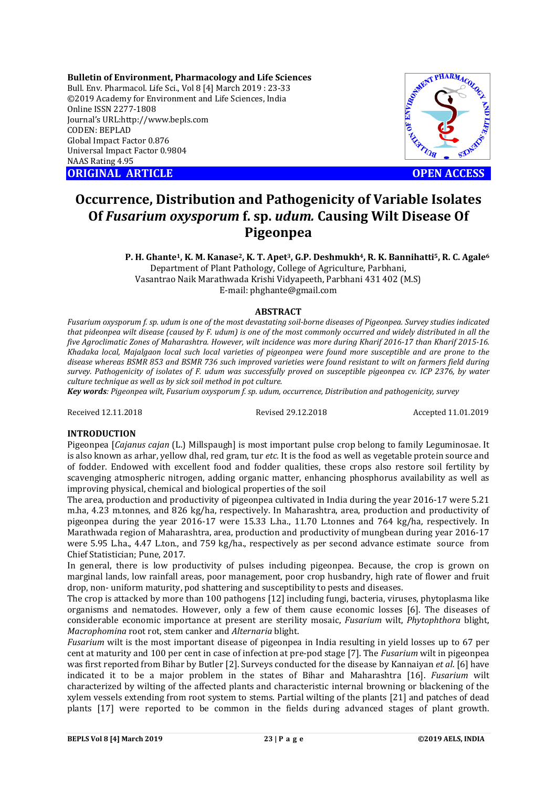**Bulletin of Environment, Pharmacology and Life Sciences** Bull. Env. Pharmacol. Life Sci., Vol 8 [4] March 2019 : 23-33 ©2019 Academy for Environment and Life Sciences, India Online ISSN 2277-1808 Journal's URL:http://www.bepls.com CODEN: BEPLAD Global Impact Factor 0.876 Universal Impact Factor 0.9804 NAAS Rating 4.95 C2019 Academy for Environment and Life Sciences, India<br>
Online ISSN 2277-1808<br>
Journal's URL:http://www.bepls.com<br>
CODEN: BEPLAD<br>
Global Impact Factor 0.876<br>
Universal Impact Factor 0.9804<br>
NAAS Rating 4.95<br> **ORIGINAL ARTI** 



# **Occurrence, Distribution and Pathogenicity of Variable Isolates Of** *Fusarium oxysporum* **f. sp.** *udum.* **Causing Wilt Disease Of Pigeonpea**

P. H. Ghante<sup>1</sup>, K. M. Kanase<sup>2</sup>, K. T. Apet<sup>3</sup>, G.P. Deshmukh<sup>4</sup>, R. K. Bannihatti<sup>5</sup>, R. C. Agale<sup>6</sup> Department of Plant Pathology, College of Agriculture, Parbhani, Vasantrao Naik Marathwada Krishi Vidyapeeth, Parbhani 431 402 (M.S) E-mail: phghante@gmail.com

### **ABSTRACT**

*Fusarium oxysporum f. sp. udum is one of the most devastating soil-borne diseases of Pigeonpea. Survey studies indicated that pideonpea wilt disease (caused by F. udum) is one of the most commonly occurred and widely distributed in all the five Agroclimatic Zones of Maharashtra. However, wilt incidence was more during Kharif 2016-17 than Kharif 2015-16. Khadaka local, Majalgaon local such local varieties of pigeonpea were found more susceptible and are prone to the disease whereas BSMR 853 and BSMR 736 such improved varieties were found resistant to wilt on farmers field during survey. Pathogenicity of isolates of F. udum was successfully proved on susceptible pigeonpea cv. ICP 2376, by water culture technique as well as by sick soil method in pot culture.*

*Key words: Pigeonpea wilt, Fusarium oxysporum f. sp. udum, occurrence, Distribution and pathogenicity, survey*

Received 12.11.2018 Revised 29.12.2018 Accepted 11.01.2019

## **INTRODUCTION**

Pigeonpea [*Cajanus cajan* (L.) Millspaugh] is most important pulse crop belong to family Leguminosae. It is also known as arhar, yellow dhal, red gram, tur *etc.* It is the food as well as vegetable protein source and of fodder. Endowed with excellent food and fodder qualities, these crops also restore soil fertility by scavenging atmospheric nitrogen, adding organic matter, enhancing phosphorus availability as well as improving physical, chemical and biological properties of the soil

The area, production and productivity of pigeonpea cultivated in India during the year 2016-17 were 5.21 m.ha, 4.23 m.tonnes, and 826 kg/ha, respectively. In Maharashtra, area, production and productivity of pigeonpea during the year 2016-17 were 15.33 L.ha., 11.70 L.tonnes and 764 kg/ha, respectively. In Marathwada region of Maharashtra, area, production and productivity of mungbean during year 2016-17 were 5.95 L.ha., 4.47 L.ton., and 759 kg/ha., respectively as per second advance estimatesource from Chief Statistician; Pune, 2017.

In general, there is low productivity of pulses including pigeonpea. Because, the crop is grown on marginal lands, low rainfall areas, poor management, poor crop husbandry, high rate of flower and fruit drop, non- uniform maturity, pod shattering and susceptibility to pests and diseases.

The crop is attacked by more than 100 pathogens [12] including fungi, bacteria, viruses, phytoplasma like organisms and nematodes. However, only a few of them cause economic losses [6]. The diseases of considerable economic importance at present are sterility mosaic, *Fusarium* wilt, *Phytophthora* blight, *Macrophomina* root rot, stem canker and *Alternaria* blight.

*Fusarium* wilt is the most important disease of pigeonpea in India resulting in yield losses up to 67 per cent at maturity and 100 per cent in case of infection at pre-pod stage [7]. The *Fusarium* wilt in pigeonpea was first reported from Bihar by Butler [2]. Surveys conducted for the disease by Kannaiyan *et al*. [6] have indicated it to be a major problem in the states of Bihar and Maharashtra [16]. *Fusarium* wilt characterized by wilting of the affected plants and characteristic internal browning or blackening of the xylem vessels extending from root system to stems. Partial wilting of the plants [21] and patches of dead plants [17] were reported to be common in the fields during advanced stages of plant growth.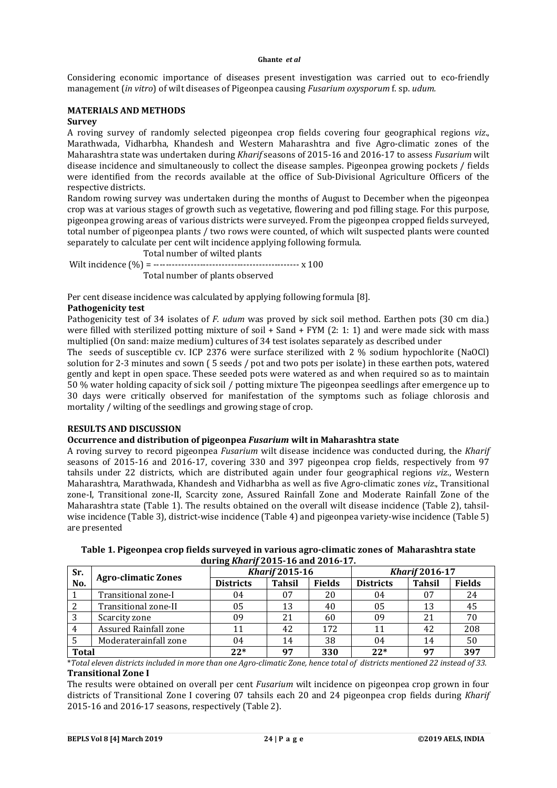Considering economic importance of diseases present investigation was carried out to eco-friendly management (*in vitro*) of wilt diseases of Pigeonpea causing *Fusarium oxysporum* f. sp. *udum.* 

## **MATERIALS AND METHODS Survey**

A roving survey of randomly selected pigeonpea crop fields covering four geographical regions *viz*., Marathwada, Vidharbha, Khandesh and Western Maharashtra and five Agro-climatic zones of the Maharashtra state was undertaken during *Kharif* seasons of 2015-16 and 2016-17 to assess *Fusarium* wilt disease incidence and simultaneously to collect the disease samples. Pigeonpea growing pockets / fields were identified from the records available at the office of Sub-Divisional Agriculture Officers of the respective districts.

Random rowing survey was undertaken during the months of August to December when the pigeonpea crop was at various stages of growth such as vegetative, flowering and pod filling stage. For this purpose, pigeonpea growing areas of various districts were surveyed. From the pigeonpea cropped fields surveyed, total number of pigeonpea plants / two rows were counted, of which wilt suspected plants were counted separately to calculate per cent wilt incidence applying following formula.

 Total number of wilted plants Wilt incidence (%) = ----------------------------------------------- x 100 Total number of plants observed

Per cent disease incidence was calculated by applying following formula [8].

# **Pathogenicity test**

Pathogenicity test of 34 isolates of *F. udum* was proved by sick soil method. Earthen pots (30 cm dia.) were filled with sterilized potting mixture of soil + Sand + FYM (2: 1: 1) and were made sick with mass multiplied (On sand: maize medium) cultures of 34 test isolates separately as described under

The seeds of susceptible cv. ICP 2376 were surface sterilized with 2 % sodium hypochlorite (NaOCl) solution for 2-3 minutes and sown ( 5 seeds / pot and two pots per isolate) in these earthen pots, watered gently and kept in open space. These seeded pots were watered as and when required so as to maintain 50 % water holding capacity of sick soil / potting mixture The pigeonpea seedlings after emergence up to 30 days were critically observed for manifestation of the symptoms such as foliage chlorosis and mortality / wilting of the seedlings and growing stage of crop.

# **RESULTS AND DISCUSSION**

## **Occurrence and distribution of pigeonpea** *Fusarium* **wilt in Maharashtra state**

A roving survey to record pigeonpea *Fusarium* wilt disease incidence was conducted during, the *Kharif* seasons of 2015-16 and 2016-17, covering 330 and 397 pigeonpea crop fields, respectively from 97 tahsils under 22 districts, which are distributed again under four geographical regions *viz*., Western Maharashtra, Marathwada, Khandesh and Vidharbha as well as five Agro-climatic zones *viz*., Transitional zone-I, Transitional zone-II, Scarcity zone, Assured Rainfall Zone and Moderate Rainfall Zone of the Maharashtra state (Table 1). The results obtained on the overall wilt disease incidence (Table 2), tahsilwise incidence (Table 3), district-wise incidence (Table 4) and pigeonpea variety-wise incidence (Table 5) are presented

**Table 1. Pigeonpea crop fields surveyed in various agro-climatic zones of Maharashtra state during** *Kharif* **2015-16 and 2016-17.**

| Sr.          |                            | <b>Kharif 2015-16</b> |               |               | <b>Kharif 2016-17</b> |               |               |
|--------------|----------------------------|-----------------------|---------------|---------------|-----------------------|---------------|---------------|
| No.          | <b>Agro-climatic Zones</b> | <b>Districts</b>      | <b>Tahsil</b> | <b>Fields</b> | <b>Districts</b>      | <b>Tahsil</b> | <b>Fields</b> |
|              | Transitional zone-I        | 04                    | 07            | 20            | 04                    |               | 24            |
|              | Transitional zone-II       | 05                    | 13            | 40            | 05                    | 13            | 45            |
|              | Scarcity zone              | 09                    | 21            | 60            | 09                    | 21            | 70            |
|              | Assured Rainfall zone      |                       | 42            | 172           | 11                    | 42            | 208           |
|              | Moderaterainfall zone      | 04                    | 14            | 38            | 04                    | 14            | 50            |
| <b>Total</b> |                            | $22*$                 | 97            | 330           | $22*$                 | 97            | 397           |

\**Total eleven districts included in more than one Agro-climatic Zone, hence total of districts mentioned 22 instead of 33.* **Transitional Zone I**

The results were obtained on overall per cent *Fusarium* wilt incidence on pigeonpea crop grown in four districts of Transitional Zone I covering 07 tahsils each 20 and 24 pigeonpea crop fields during *Kharif*  2015-16 and 2016-17 seasons, respectively (Table 2).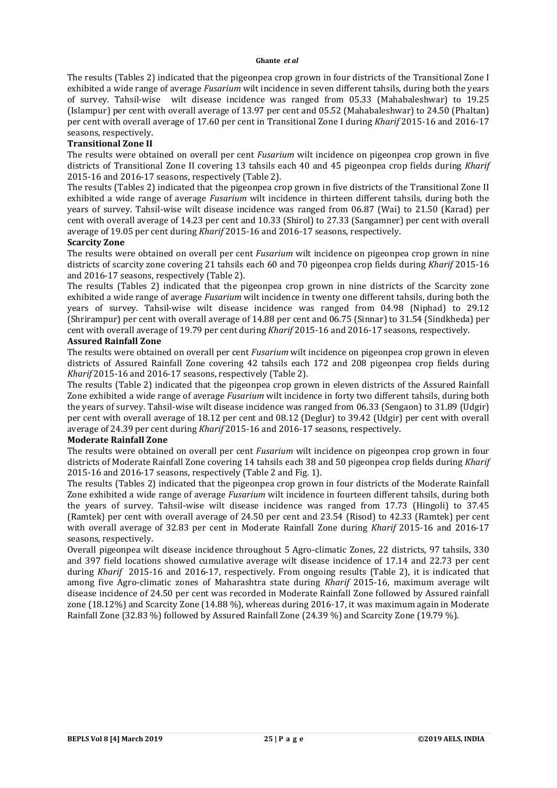The results (Tables 2) indicated that the pigeonpea crop grown in four districts of the Transitional Zone I exhibited a wide range of average *Fusarium* wilt incidence in seven different tahsils, during both the years of survey. Tahsil-wise wilt disease incidence was ranged from 05.33 (Mahabaleshwar) to 19.25 (Islampur) per cent with overall average of 13.97 per cent and 05.52 (Mahabaleshwar) to 24.50 (Phaltan) per cent with overall average of 17.60 per cent in Transitional Zone I during *Kharif* 2015-16 and 2016-17 seasons, respectively.

### **Transitional Zone II**

The results were obtained on overall per cent *Fusarium* wilt incidence on pigeonpea crop grown in five districts of Transitional Zone II covering 13 tahsils each 40 and 45 pigeonpea crop fields during *Kharif* 2015-16 and 2016-17 seasons, respectively (Table 2).

The results (Tables 2) indicated that the pigeonpea crop grown in five districts of the Transitional Zone II exhibited a wide range of average *Fusarium* wilt incidence in thirteen different tahsils, during both the years of survey. Tahsil-wise wilt disease incidence was ranged from 06.87 (Wai) to 21.50 (Karad) per cent with overall average of 14.23 per cent and 10.33 (Shirol) to 27.33 (Sangamner) per cent with overall average of 19.05 per cent during *Kharif* 2015-16 and 2016-17 seasons, respectively.

### **Scarcity Zone**

The results were obtained on overall per cent *Fusarium* wilt incidence on pigeonpea crop grown in nine districts of scarcity zone covering 21 tahsils each 60 and 70 pigeonpea crop fields during *Kharif* 2015-16 and 2016-17 seasons, respectively (Table 2).

The results (Tables 2) indicated that the pigeonpea crop grown in nine districts of the Scarcity zone exhibited a wide range of average *Fusarium* wilt incidence in twenty one different tahsils, during both the years of survey. Tahsil-wise wilt disease incidence was ranged from 04.98 (Niphad) to 29.12 (Shrirampur) per cent with overall average of 14.88 per cent and 06.75 (Sinnar) to 31.54 (Sindkheda) per cent with overall average of 19.79 per cent during *Kharif* 2015-16 and 2016-17 seasons, respectively.

## **Assured Rainfall Zone**

The results were obtained on overall per cent *Fusarium* wilt incidence on pigeonpea crop grown in eleven districts of Assured Rainfall Zone covering 42 tahsils each 172 and 208 pigeonpea crop fields during *Kharif* 2015-16 and 2016-17 seasons, respectively (Table 2).

The results (Table 2) indicated that the pigeonpea crop grown in eleven districts of the Assured Rainfall Zone exhibited a wide range of average *Fusarium* wilt incidence in forty two different tahsils, during both the years of survey. Tahsil-wise wilt disease incidence was ranged from 06.33 (Sengaon) to 31.89 (Udgir) per cent with overall average of 18.12 per cent and 08.12 (Deglur) to 39.42 (Udgir) per cent with overall average of 24.39 per cent during *Kharif* 2015-16 and 2016-17 seasons, respectively.

# **Moderate Rainfall Zone**

The results were obtained on overall per cent *Fusarium* wilt incidence on pigeonpea crop grown in four districts of Moderate Rainfall Zone covering 14 tahsils each 38 and 50 pigeonpea crop fields during *Kharif* 2015-16 and 2016-17 seasons, respectively (Table 2 and Fig. 1).

The results (Tables 2) indicated that the pigeonpea crop grown in four districts of the Moderate Rainfall Zone exhibited a wide range of average *Fusarium* wilt incidence in fourteen different tahsils, during both the years of survey. Tahsil-wise wilt disease incidence was ranged from 17.73 (Hingoli) to 37.45 (Ramtek) per cent with overall average of 24.50 per cent and 23.54 (Risod) to 42.33 (Ramtek) per cent with overall average of 32.83 per cent in Moderate Rainfall Zone during *Kharif* 2015-16 and 2016-17 seasons, respectively.

Overall pigeonpea wilt disease incidence throughout 5 Agro-climatic Zones, 22 districts, 97 tahsils, 330 and 397 field locations showed cumulative average wilt disease incidence of 17.14 and 22.73 per cent during *Kharif* 2015-16 and 2016-17, respectively. From ongoing results (Table 2), it is indicated that among five Agro-climatic zones of Maharashtra state during *Kharif* 2015-16, maximum average wilt disease incidence of 24.50 per cent was recorded in Moderate Rainfall Zone followed by Assured rainfall zone (18.12%) and Scarcity Zone (14.88 %), whereas during 2016-17, it was maximum again in Moderate Rainfall Zone (32.83 %) followed by Assured Rainfall Zone (24.39 %) and Scarcity Zone (19.79 %).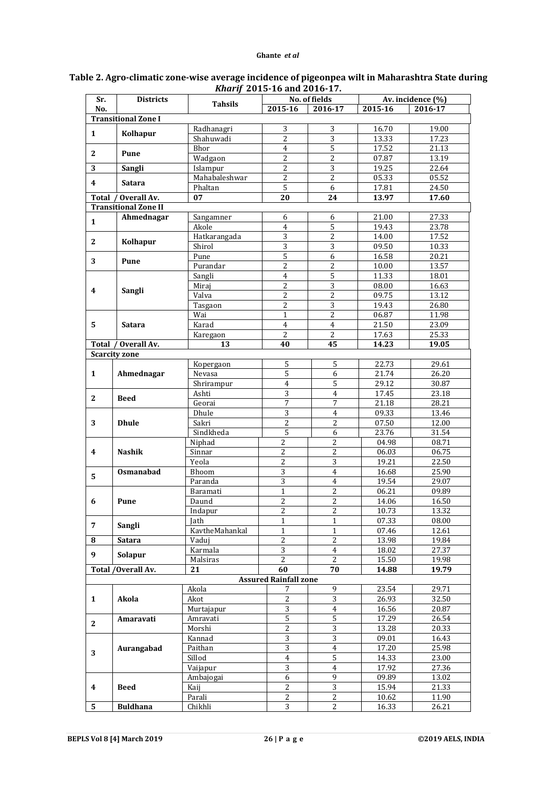| No.<br>2015-16<br>2015-16<br>2016-17<br>2016-17<br><b>Transitional Zone I</b><br>3<br>Radhanagri<br>3<br>16.70<br>19.00<br>$\mathbf{1}$<br>Kolhapur<br>$\overline{2}$<br>$\overline{3}$<br>Shahuwadi<br>13.33<br>17.23<br>$\overline{5}$<br>Bhor<br>$\overline{4}$<br>17.52<br>21.13<br>Pune<br>2<br>Wadgaon<br>$\overline{2}$<br>$\overline{c}$<br>07.87<br>13.19<br>3<br>Sangli<br>Islampur<br>3<br>$\overline{2}$<br>19.25<br>22.64<br>$\overline{2}$<br>$\overline{2}$<br>Mahabaleshwar<br>05.33<br>05.52<br>4<br><b>Satara</b><br>5<br>6<br>17.81<br>24.50<br>Phaltan<br>Overall Av.<br>07<br>20<br>13.97<br>17.60<br><b>Total</b><br>24<br><b>Transitional Zone II</b><br>Ahmednagar<br>21.00<br>27.33<br>Sangamner<br>6<br>6<br>$\mathbf{1}$<br>$\overline{5}$<br>$\overline{4}$<br>19.43<br>23.78<br>Akole<br>3<br>$\overline{c}$<br>17.52<br>14.00<br>Hatkarangada<br>$\mathbf{2}$<br>Kolhapur<br>$\sqrt{3}$<br>3<br>09.50<br>Shirol<br>10.33<br>$\overline{5}$<br>6<br>16.58<br>20.21<br>Pune<br>3<br><b>Pune</b><br>$\overline{2}$<br>$\overline{2}$<br>13.57<br>Purandar<br>10.00<br>5<br>11.33<br>$\overline{4}$<br>18.01<br>Sangli<br>$\overline{3}$<br>$\overline{2}$<br>08.00<br>Miraj<br>16.63<br>4<br>Sangli<br>$\overline{2}$<br>$\overline{2}$<br>09.75<br>Valva<br>13.12<br>$\overline{2}$<br>$\overline{3}$<br>19.43<br>26.80<br>Tasgaon<br>$\overline{2}$<br>$\mathbf{1}$<br>06.87<br>11.98<br>Wai<br>Karad<br>5<br>$\overline{4}$<br>$\overline{4}$<br>21.50<br>23.09<br><b>Satara</b><br>$\overline{2}$<br>$\overline{2}$<br>17.63<br>Karegaon<br>25.33<br>/ Overall Av.<br>40<br>45<br>13<br>14.23<br>19.05<br><b>Total</b><br><b>Scarcity zone</b><br>Kopergaon<br>5<br>5<br>22.73<br>29.61<br>$\overline{5}$<br>26.20<br>6<br>21.74<br>$\mathbf{1}$<br>Ahmednagar<br>Nevasa<br>29.12<br>Shrirampur<br>$\overline{4}$<br>5<br>30.87<br>Ashti<br>3<br>17.45<br>23.18<br>$\overline{4}$<br>$\mathbf{2}$<br><b>Beed</b><br>Georai<br>7<br>7<br>21.18<br>28.21<br>3<br>Dhule<br>$\overline{4}$<br>09.33<br>13.46<br>$\overline{2}$<br>07.50<br>Sakri<br>$\overline{c}$<br>12.00<br>3<br><b>Dhule</b><br>Sindkheda<br>5<br>23.76<br>31.54<br>6<br>Niphad<br>$\overline{2}$<br>2<br>04.98<br>08.71<br>$\overline{c}$<br>$\overline{c}$<br>06.75<br><b>Nashik</b><br>Sinnar<br>06.03<br>4<br>$\overline{2}$<br>$\overline{3}$<br>Yeola<br>19.21<br>22.50<br>3<br>Osmanabad<br>Bhoom<br>$\overline{4}$<br>16.68<br>25.90<br>5<br>3<br>Paranda<br>$\overline{4}$<br>19.54<br>29.07<br>$\overline{2}$<br>$\mathbf{1}$<br>06.21<br>09.89<br>Baramati<br>$\overline{2}$<br>$\overline{2}$<br>16.50<br>14.06<br>6<br>Pune<br>Daund<br>$\overline{\mathbf{c}}$<br>2<br>10.73<br>13.32<br>Indapur<br>$\mathbf{1}$<br>$\mathbf 1$<br>07.33<br>08.00<br>Jath<br>7<br>Sangli<br>$\mathbf{1}$<br>$\mathbf{1}$<br>07.46<br>KavtheMahankal<br>12.61<br>$\overline{2}$<br>$\overline{2}$<br>13.98<br>19.84<br>8<br><b>Satara</b><br>Vaduj<br>3<br>Karmala<br>$\overline{4}$<br>18.02<br>27.37<br>9<br>Solapur<br>$\overline{2}$<br>$\overline{2}$<br>15.50<br>19.98<br>Malsiras<br>Total /Overall Av.<br>60<br>21<br>70<br>14.88<br>19.79<br><b>Assured Rainfall zone</b><br>Akola<br>9<br>23.54<br>29.71<br>7<br>$\overline{c}$<br>$\sqrt{3}$<br>26.93<br>32.50<br>$\mathbf{1}$<br>Akola<br>Akot<br>$\overline{3}$<br>$\overline{4}$<br>16.56<br>Murtajapur<br>20.87<br>$\sqrt{5}$<br>$\sqrt{5}$<br>17.29<br>Amravati<br>26.54<br>Amaravati<br>$\mathbf{2}$<br>Morshi<br>$\overline{c}$<br>$\sqrt{3}$<br>13.28<br>20.33<br>$\overline{3}$<br>$\sqrt{3}$<br>Kannad<br>09.01<br>16.43<br>$\overline{3}$<br>$\overline{4}$<br>17.20<br>25.98<br>Aurangabad<br>Paithan<br>3<br>Sillod<br>$\sqrt{5}$<br>23.00<br>$\overline{4}$<br>14.33<br>3<br>Vaijapur<br>17.92<br>$\overline{4}$<br>27.36<br>$\boldsymbol{6}$<br>9<br>09.89<br>13.02<br>Ambajogai<br>$\overline{3}$<br>$\sqrt{2}$<br>$\boldsymbol{4}$<br><b>Beed</b><br>15.94<br>21.33<br>Kaij<br>$\overline{2}$<br>$\overline{2}$<br>Parali<br>10.62<br>11.90 | Sr.             | <b>Districts</b> | <b>Tahsils</b> |                | No. of fields |       | Av. incidence (%) |  |
|---------------------------------------------------------------------------------------------------------------------------------------------------------------------------------------------------------------------------------------------------------------------------------------------------------------------------------------------------------------------------------------------------------------------------------------------------------------------------------------------------------------------------------------------------------------------------------------------------------------------------------------------------------------------------------------------------------------------------------------------------------------------------------------------------------------------------------------------------------------------------------------------------------------------------------------------------------------------------------------------------------------------------------------------------------------------------------------------------------------------------------------------------------------------------------------------------------------------------------------------------------------------------------------------------------------------------------------------------------------------------------------------------------------------------------------------------------------------------------------------------------------------------------------------------------------------------------------------------------------------------------------------------------------------------------------------------------------------------------------------------------------------------------------------------------------------------------------------------------------------------------------------------------------------------------------------------------------------------------------------------------------------------------------------------------------------------------------------------------------------------------------------------------------------------------------------------------------------------------------------------------------------------------------------------------------------------------------------------------------------------------------------------------------------------------------------------------------------------------------------------------------------------------------------------------------------------------------------------------------------------------------------------------------------------------------------------------------------------------------------------------------------------------------------------------------------------------------------------------------------------------------------------------------------------------------------------------------------------------------------------------------------------------------------------------------------------------------------------------------------------------------------------------------------------------------------------------------------------------------------------------------------------------------------------------------------------------------------------------------------------------------------------------------------------------------------------------------------------------------------------------------------------------------------------------------------------------------------------------------------------------------------------------------------------------------------------------------------------------------------------------------------------------------------------------------------------------------------------------------------------------------------------------------------------------------------------------------------------------------------------------------------|-----------------|------------------|----------------|----------------|---------------|-------|-------------------|--|
|                                                                                                                                                                                                                                                                                                                                                                                                                                                                                                                                                                                                                                                                                                                                                                                                                                                                                                                                                                                                                                                                                                                                                                                                                                                                                                                                                                                                                                                                                                                                                                                                                                                                                                                                                                                                                                                                                                                                                                                                                                                                                                                                                                                                                                                                                                                                                                                                                                                                                                                                                                                                                                                                                                                                                                                                                                                                                                                                                                                                                                                                                                                                                                                                                                                                                                                                                                                                                                                                                                                                                                                                                                                                                                                                                                                                                                                                                                                                                                                                                     |                 |                  |                |                |               |       |                   |  |
|                                                                                                                                                                                                                                                                                                                                                                                                                                                                                                                                                                                                                                                                                                                                                                                                                                                                                                                                                                                                                                                                                                                                                                                                                                                                                                                                                                                                                                                                                                                                                                                                                                                                                                                                                                                                                                                                                                                                                                                                                                                                                                                                                                                                                                                                                                                                                                                                                                                                                                                                                                                                                                                                                                                                                                                                                                                                                                                                                                                                                                                                                                                                                                                                                                                                                                                                                                                                                                                                                                                                                                                                                                                                                                                                                                                                                                                                                                                                                                                                                     |                 |                  |                |                |               |       |                   |  |
|                                                                                                                                                                                                                                                                                                                                                                                                                                                                                                                                                                                                                                                                                                                                                                                                                                                                                                                                                                                                                                                                                                                                                                                                                                                                                                                                                                                                                                                                                                                                                                                                                                                                                                                                                                                                                                                                                                                                                                                                                                                                                                                                                                                                                                                                                                                                                                                                                                                                                                                                                                                                                                                                                                                                                                                                                                                                                                                                                                                                                                                                                                                                                                                                                                                                                                                                                                                                                                                                                                                                                                                                                                                                                                                                                                                                                                                                                                                                                                                                                     |                 |                  |                |                |               |       |                   |  |
|                                                                                                                                                                                                                                                                                                                                                                                                                                                                                                                                                                                                                                                                                                                                                                                                                                                                                                                                                                                                                                                                                                                                                                                                                                                                                                                                                                                                                                                                                                                                                                                                                                                                                                                                                                                                                                                                                                                                                                                                                                                                                                                                                                                                                                                                                                                                                                                                                                                                                                                                                                                                                                                                                                                                                                                                                                                                                                                                                                                                                                                                                                                                                                                                                                                                                                                                                                                                                                                                                                                                                                                                                                                                                                                                                                                                                                                                                                                                                                                                                     |                 |                  |                |                |               |       |                   |  |
|                                                                                                                                                                                                                                                                                                                                                                                                                                                                                                                                                                                                                                                                                                                                                                                                                                                                                                                                                                                                                                                                                                                                                                                                                                                                                                                                                                                                                                                                                                                                                                                                                                                                                                                                                                                                                                                                                                                                                                                                                                                                                                                                                                                                                                                                                                                                                                                                                                                                                                                                                                                                                                                                                                                                                                                                                                                                                                                                                                                                                                                                                                                                                                                                                                                                                                                                                                                                                                                                                                                                                                                                                                                                                                                                                                                                                                                                                                                                                                                                                     |                 |                  |                |                |               |       |                   |  |
|                                                                                                                                                                                                                                                                                                                                                                                                                                                                                                                                                                                                                                                                                                                                                                                                                                                                                                                                                                                                                                                                                                                                                                                                                                                                                                                                                                                                                                                                                                                                                                                                                                                                                                                                                                                                                                                                                                                                                                                                                                                                                                                                                                                                                                                                                                                                                                                                                                                                                                                                                                                                                                                                                                                                                                                                                                                                                                                                                                                                                                                                                                                                                                                                                                                                                                                                                                                                                                                                                                                                                                                                                                                                                                                                                                                                                                                                                                                                                                                                                     |                 |                  |                |                |               |       |                   |  |
|                                                                                                                                                                                                                                                                                                                                                                                                                                                                                                                                                                                                                                                                                                                                                                                                                                                                                                                                                                                                                                                                                                                                                                                                                                                                                                                                                                                                                                                                                                                                                                                                                                                                                                                                                                                                                                                                                                                                                                                                                                                                                                                                                                                                                                                                                                                                                                                                                                                                                                                                                                                                                                                                                                                                                                                                                                                                                                                                                                                                                                                                                                                                                                                                                                                                                                                                                                                                                                                                                                                                                                                                                                                                                                                                                                                                                                                                                                                                                                                                                     |                 |                  |                |                |               |       |                   |  |
|                                                                                                                                                                                                                                                                                                                                                                                                                                                                                                                                                                                                                                                                                                                                                                                                                                                                                                                                                                                                                                                                                                                                                                                                                                                                                                                                                                                                                                                                                                                                                                                                                                                                                                                                                                                                                                                                                                                                                                                                                                                                                                                                                                                                                                                                                                                                                                                                                                                                                                                                                                                                                                                                                                                                                                                                                                                                                                                                                                                                                                                                                                                                                                                                                                                                                                                                                                                                                                                                                                                                                                                                                                                                                                                                                                                                                                                                                                                                                                                                                     |                 |                  |                |                |               |       |                   |  |
|                                                                                                                                                                                                                                                                                                                                                                                                                                                                                                                                                                                                                                                                                                                                                                                                                                                                                                                                                                                                                                                                                                                                                                                                                                                                                                                                                                                                                                                                                                                                                                                                                                                                                                                                                                                                                                                                                                                                                                                                                                                                                                                                                                                                                                                                                                                                                                                                                                                                                                                                                                                                                                                                                                                                                                                                                                                                                                                                                                                                                                                                                                                                                                                                                                                                                                                                                                                                                                                                                                                                                                                                                                                                                                                                                                                                                                                                                                                                                                                                                     |                 |                  |                |                |               |       |                   |  |
|                                                                                                                                                                                                                                                                                                                                                                                                                                                                                                                                                                                                                                                                                                                                                                                                                                                                                                                                                                                                                                                                                                                                                                                                                                                                                                                                                                                                                                                                                                                                                                                                                                                                                                                                                                                                                                                                                                                                                                                                                                                                                                                                                                                                                                                                                                                                                                                                                                                                                                                                                                                                                                                                                                                                                                                                                                                                                                                                                                                                                                                                                                                                                                                                                                                                                                                                                                                                                                                                                                                                                                                                                                                                                                                                                                                                                                                                                                                                                                                                                     |                 |                  |                |                |               |       |                   |  |
|                                                                                                                                                                                                                                                                                                                                                                                                                                                                                                                                                                                                                                                                                                                                                                                                                                                                                                                                                                                                                                                                                                                                                                                                                                                                                                                                                                                                                                                                                                                                                                                                                                                                                                                                                                                                                                                                                                                                                                                                                                                                                                                                                                                                                                                                                                                                                                                                                                                                                                                                                                                                                                                                                                                                                                                                                                                                                                                                                                                                                                                                                                                                                                                                                                                                                                                                                                                                                                                                                                                                                                                                                                                                                                                                                                                                                                                                                                                                                                                                                     |                 |                  |                |                |               |       |                   |  |
|                                                                                                                                                                                                                                                                                                                                                                                                                                                                                                                                                                                                                                                                                                                                                                                                                                                                                                                                                                                                                                                                                                                                                                                                                                                                                                                                                                                                                                                                                                                                                                                                                                                                                                                                                                                                                                                                                                                                                                                                                                                                                                                                                                                                                                                                                                                                                                                                                                                                                                                                                                                                                                                                                                                                                                                                                                                                                                                                                                                                                                                                                                                                                                                                                                                                                                                                                                                                                                                                                                                                                                                                                                                                                                                                                                                                                                                                                                                                                                                                                     |                 |                  |                |                |               |       |                   |  |
|                                                                                                                                                                                                                                                                                                                                                                                                                                                                                                                                                                                                                                                                                                                                                                                                                                                                                                                                                                                                                                                                                                                                                                                                                                                                                                                                                                                                                                                                                                                                                                                                                                                                                                                                                                                                                                                                                                                                                                                                                                                                                                                                                                                                                                                                                                                                                                                                                                                                                                                                                                                                                                                                                                                                                                                                                                                                                                                                                                                                                                                                                                                                                                                                                                                                                                                                                                                                                                                                                                                                                                                                                                                                                                                                                                                                                                                                                                                                                                                                                     |                 |                  |                |                |               |       |                   |  |
|                                                                                                                                                                                                                                                                                                                                                                                                                                                                                                                                                                                                                                                                                                                                                                                                                                                                                                                                                                                                                                                                                                                                                                                                                                                                                                                                                                                                                                                                                                                                                                                                                                                                                                                                                                                                                                                                                                                                                                                                                                                                                                                                                                                                                                                                                                                                                                                                                                                                                                                                                                                                                                                                                                                                                                                                                                                                                                                                                                                                                                                                                                                                                                                                                                                                                                                                                                                                                                                                                                                                                                                                                                                                                                                                                                                                                                                                                                                                                                                                                     |                 |                  |                |                |               |       |                   |  |
|                                                                                                                                                                                                                                                                                                                                                                                                                                                                                                                                                                                                                                                                                                                                                                                                                                                                                                                                                                                                                                                                                                                                                                                                                                                                                                                                                                                                                                                                                                                                                                                                                                                                                                                                                                                                                                                                                                                                                                                                                                                                                                                                                                                                                                                                                                                                                                                                                                                                                                                                                                                                                                                                                                                                                                                                                                                                                                                                                                                                                                                                                                                                                                                                                                                                                                                                                                                                                                                                                                                                                                                                                                                                                                                                                                                                                                                                                                                                                                                                                     |                 |                  |                |                |               |       |                   |  |
|                                                                                                                                                                                                                                                                                                                                                                                                                                                                                                                                                                                                                                                                                                                                                                                                                                                                                                                                                                                                                                                                                                                                                                                                                                                                                                                                                                                                                                                                                                                                                                                                                                                                                                                                                                                                                                                                                                                                                                                                                                                                                                                                                                                                                                                                                                                                                                                                                                                                                                                                                                                                                                                                                                                                                                                                                                                                                                                                                                                                                                                                                                                                                                                                                                                                                                                                                                                                                                                                                                                                                                                                                                                                                                                                                                                                                                                                                                                                                                                                                     |                 |                  |                |                |               |       |                   |  |
|                                                                                                                                                                                                                                                                                                                                                                                                                                                                                                                                                                                                                                                                                                                                                                                                                                                                                                                                                                                                                                                                                                                                                                                                                                                                                                                                                                                                                                                                                                                                                                                                                                                                                                                                                                                                                                                                                                                                                                                                                                                                                                                                                                                                                                                                                                                                                                                                                                                                                                                                                                                                                                                                                                                                                                                                                                                                                                                                                                                                                                                                                                                                                                                                                                                                                                                                                                                                                                                                                                                                                                                                                                                                                                                                                                                                                                                                                                                                                                                                                     |                 |                  |                |                |               |       |                   |  |
|                                                                                                                                                                                                                                                                                                                                                                                                                                                                                                                                                                                                                                                                                                                                                                                                                                                                                                                                                                                                                                                                                                                                                                                                                                                                                                                                                                                                                                                                                                                                                                                                                                                                                                                                                                                                                                                                                                                                                                                                                                                                                                                                                                                                                                                                                                                                                                                                                                                                                                                                                                                                                                                                                                                                                                                                                                                                                                                                                                                                                                                                                                                                                                                                                                                                                                                                                                                                                                                                                                                                                                                                                                                                                                                                                                                                                                                                                                                                                                                                                     |                 |                  |                |                |               |       |                   |  |
|                                                                                                                                                                                                                                                                                                                                                                                                                                                                                                                                                                                                                                                                                                                                                                                                                                                                                                                                                                                                                                                                                                                                                                                                                                                                                                                                                                                                                                                                                                                                                                                                                                                                                                                                                                                                                                                                                                                                                                                                                                                                                                                                                                                                                                                                                                                                                                                                                                                                                                                                                                                                                                                                                                                                                                                                                                                                                                                                                                                                                                                                                                                                                                                                                                                                                                                                                                                                                                                                                                                                                                                                                                                                                                                                                                                                                                                                                                                                                                                                                     |                 |                  |                |                |               |       |                   |  |
|                                                                                                                                                                                                                                                                                                                                                                                                                                                                                                                                                                                                                                                                                                                                                                                                                                                                                                                                                                                                                                                                                                                                                                                                                                                                                                                                                                                                                                                                                                                                                                                                                                                                                                                                                                                                                                                                                                                                                                                                                                                                                                                                                                                                                                                                                                                                                                                                                                                                                                                                                                                                                                                                                                                                                                                                                                                                                                                                                                                                                                                                                                                                                                                                                                                                                                                                                                                                                                                                                                                                                                                                                                                                                                                                                                                                                                                                                                                                                                                                                     |                 |                  |                |                |               |       |                   |  |
|                                                                                                                                                                                                                                                                                                                                                                                                                                                                                                                                                                                                                                                                                                                                                                                                                                                                                                                                                                                                                                                                                                                                                                                                                                                                                                                                                                                                                                                                                                                                                                                                                                                                                                                                                                                                                                                                                                                                                                                                                                                                                                                                                                                                                                                                                                                                                                                                                                                                                                                                                                                                                                                                                                                                                                                                                                                                                                                                                                                                                                                                                                                                                                                                                                                                                                                                                                                                                                                                                                                                                                                                                                                                                                                                                                                                                                                                                                                                                                                                                     |                 |                  |                |                |               |       |                   |  |
|                                                                                                                                                                                                                                                                                                                                                                                                                                                                                                                                                                                                                                                                                                                                                                                                                                                                                                                                                                                                                                                                                                                                                                                                                                                                                                                                                                                                                                                                                                                                                                                                                                                                                                                                                                                                                                                                                                                                                                                                                                                                                                                                                                                                                                                                                                                                                                                                                                                                                                                                                                                                                                                                                                                                                                                                                                                                                                                                                                                                                                                                                                                                                                                                                                                                                                                                                                                                                                                                                                                                                                                                                                                                                                                                                                                                                                                                                                                                                                                                                     |                 |                  |                |                |               |       |                   |  |
|                                                                                                                                                                                                                                                                                                                                                                                                                                                                                                                                                                                                                                                                                                                                                                                                                                                                                                                                                                                                                                                                                                                                                                                                                                                                                                                                                                                                                                                                                                                                                                                                                                                                                                                                                                                                                                                                                                                                                                                                                                                                                                                                                                                                                                                                                                                                                                                                                                                                                                                                                                                                                                                                                                                                                                                                                                                                                                                                                                                                                                                                                                                                                                                                                                                                                                                                                                                                                                                                                                                                                                                                                                                                                                                                                                                                                                                                                                                                                                                                                     |                 |                  |                |                |               |       |                   |  |
|                                                                                                                                                                                                                                                                                                                                                                                                                                                                                                                                                                                                                                                                                                                                                                                                                                                                                                                                                                                                                                                                                                                                                                                                                                                                                                                                                                                                                                                                                                                                                                                                                                                                                                                                                                                                                                                                                                                                                                                                                                                                                                                                                                                                                                                                                                                                                                                                                                                                                                                                                                                                                                                                                                                                                                                                                                                                                                                                                                                                                                                                                                                                                                                                                                                                                                                                                                                                                                                                                                                                                                                                                                                                                                                                                                                                                                                                                                                                                                                                                     |                 |                  |                |                |               |       |                   |  |
|                                                                                                                                                                                                                                                                                                                                                                                                                                                                                                                                                                                                                                                                                                                                                                                                                                                                                                                                                                                                                                                                                                                                                                                                                                                                                                                                                                                                                                                                                                                                                                                                                                                                                                                                                                                                                                                                                                                                                                                                                                                                                                                                                                                                                                                                                                                                                                                                                                                                                                                                                                                                                                                                                                                                                                                                                                                                                                                                                                                                                                                                                                                                                                                                                                                                                                                                                                                                                                                                                                                                                                                                                                                                                                                                                                                                                                                                                                                                                                                                                     |                 |                  |                |                |               |       |                   |  |
|                                                                                                                                                                                                                                                                                                                                                                                                                                                                                                                                                                                                                                                                                                                                                                                                                                                                                                                                                                                                                                                                                                                                                                                                                                                                                                                                                                                                                                                                                                                                                                                                                                                                                                                                                                                                                                                                                                                                                                                                                                                                                                                                                                                                                                                                                                                                                                                                                                                                                                                                                                                                                                                                                                                                                                                                                                                                                                                                                                                                                                                                                                                                                                                                                                                                                                                                                                                                                                                                                                                                                                                                                                                                                                                                                                                                                                                                                                                                                                                                                     |                 |                  |                |                |               |       |                   |  |
|                                                                                                                                                                                                                                                                                                                                                                                                                                                                                                                                                                                                                                                                                                                                                                                                                                                                                                                                                                                                                                                                                                                                                                                                                                                                                                                                                                                                                                                                                                                                                                                                                                                                                                                                                                                                                                                                                                                                                                                                                                                                                                                                                                                                                                                                                                                                                                                                                                                                                                                                                                                                                                                                                                                                                                                                                                                                                                                                                                                                                                                                                                                                                                                                                                                                                                                                                                                                                                                                                                                                                                                                                                                                                                                                                                                                                                                                                                                                                                                                                     |                 |                  |                |                |               |       |                   |  |
|                                                                                                                                                                                                                                                                                                                                                                                                                                                                                                                                                                                                                                                                                                                                                                                                                                                                                                                                                                                                                                                                                                                                                                                                                                                                                                                                                                                                                                                                                                                                                                                                                                                                                                                                                                                                                                                                                                                                                                                                                                                                                                                                                                                                                                                                                                                                                                                                                                                                                                                                                                                                                                                                                                                                                                                                                                                                                                                                                                                                                                                                                                                                                                                                                                                                                                                                                                                                                                                                                                                                                                                                                                                                                                                                                                                                                                                                                                                                                                                                                     |                 |                  |                |                |               |       |                   |  |
|                                                                                                                                                                                                                                                                                                                                                                                                                                                                                                                                                                                                                                                                                                                                                                                                                                                                                                                                                                                                                                                                                                                                                                                                                                                                                                                                                                                                                                                                                                                                                                                                                                                                                                                                                                                                                                                                                                                                                                                                                                                                                                                                                                                                                                                                                                                                                                                                                                                                                                                                                                                                                                                                                                                                                                                                                                                                                                                                                                                                                                                                                                                                                                                                                                                                                                                                                                                                                                                                                                                                                                                                                                                                                                                                                                                                                                                                                                                                                                                                                     |                 |                  |                |                |               |       |                   |  |
|                                                                                                                                                                                                                                                                                                                                                                                                                                                                                                                                                                                                                                                                                                                                                                                                                                                                                                                                                                                                                                                                                                                                                                                                                                                                                                                                                                                                                                                                                                                                                                                                                                                                                                                                                                                                                                                                                                                                                                                                                                                                                                                                                                                                                                                                                                                                                                                                                                                                                                                                                                                                                                                                                                                                                                                                                                                                                                                                                                                                                                                                                                                                                                                                                                                                                                                                                                                                                                                                                                                                                                                                                                                                                                                                                                                                                                                                                                                                                                                                                     |                 |                  |                |                |               |       |                   |  |
|                                                                                                                                                                                                                                                                                                                                                                                                                                                                                                                                                                                                                                                                                                                                                                                                                                                                                                                                                                                                                                                                                                                                                                                                                                                                                                                                                                                                                                                                                                                                                                                                                                                                                                                                                                                                                                                                                                                                                                                                                                                                                                                                                                                                                                                                                                                                                                                                                                                                                                                                                                                                                                                                                                                                                                                                                                                                                                                                                                                                                                                                                                                                                                                                                                                                                                                                                                                                                                                                                                                                                                                                                                                                                                                                                                                                                                                                                                                                                                                                                     |                 |                  |                |                |               |       |                   |  |
|                                                                                                                                                                                                                                                                                                                                                                                                                                                                                                                                                                                                                                                                                                                                                                                                                                                                                                                                                                                                                                                                                                                                                                                                                                                                                                                                                                                                                                                                                                                                                                                                                                                                                                                                                                                                                                                                                                                                                                                                                                                                                                                                                                                                                                                                                                                                                                                                                                                                                                                                                                                                                                                                                                                                                                                                                                                                                                                                                                                                                                                                                                                                                                                                                                                                                                                                                                                                                                                                                                                                                                                                                                                                                                                                                                                                                                                                                                                                                                                                                     |                 |                  |                |                |               |       |                   |  |
|                                                                                                                                                                                                                                                                                                                                                                                                                                                                                                                                                                                                                                                                                                                                                                                                                                                                                                                                                                                                                                                                                                                                                                                                                                                                                                                                                                                                                                                                                                                                                                                                                                                                                                                                                                                                                                                                                                                                                                                                                                                                                                                                                                                                                                                                                                                                                                                                                                                                                                                                                                                                                                                                                                                                                                                                                                                                                                                                                                                                                                                                                                                                                                                                                                                                                                                                                                                                                                                                                                                                                                                                                                                                                                                                                                                                                                                                                                                                                                                                                     |                 |                  |                |                |               |       |                   |  |
|                                                                                                                                                                                                                                                                                                                                                                                                                                                                                                                                                                                                                                                                                                                                                                                                                                                                                                                                                                                                                                                                                                                                                                                                                                                                                                                                                                                                                                                                                                                                                                                                                                                                                                                                                                                                                                                                                                                                                                                                                                                                                                                                                                                                                                                                                                                                                                                                                                                                                                                                                                                                                                                                                                                                                                                                                                                                                                                                                                                                                                                                                                                                                                                                                                                                                                                                                                                                                                                                                                                                                                                                                                                                                                                                                                                                                                                                                                                                                                                                                     |                 |                  |                |                |               |       |                   |  |
|                                                                                                                                                                                                                                                                                                                                                                                                                                                                                                                                                                                                                                                                                                                                                                                                                                                                                                                                                                                                                                                                                                                                                                                                                                                                                                                                                                                                                                                                                                                                                                                                                                                                                                                                                                                                                                                                                                                                                                                                                                                                                                                                                                                                                                                                                                                                                                                                                                                                                                                                                                                                                                                                                                                                                                                                                                                                                                                                                                                                                                                                                                                                                                                                                                                                                                                                                                                                                                                                                                                                                                                                                                                                                                                                                                                                                                                                                                                                                                                                                     |                 |                  |                |                |               |       |                   |  |
|                                                                                                                                                                                                                                                                                                                                                                                                                                                                                                                                                                                                                                                                                                                                                                                                                                                                                                                                                                                                                                                                                                                                                                                                                                                                                                                                                                                                                                                                                                                                                                                                                                                                                                                                                                                                                                                                                                                                                                                                                                                                                                                                                                                                                                                                                                                                                                                                                                                                                                                                                                                                                                                                                                                                                                                                                                                                                                                                                                                                                                                                                                                                                                                                                                                                                                                                                                                                                                                                                                                                                                                                                                                                                                                                                                                                                                                                                                                                                                                                                     |                 |                  |                |                |               |       |                   |  |
|                                                                                                                                                                                                                                                                                                                                                                                                                                                                                                                                                                                                                                                                                                                                                                                                                                                                                                                                                                                                                                                                                                                                                                                                                                                                                                                                                                                                                                                                                                                                                                                                                                                                                                                                                                                                                                                                                                                                                                                                                                                                                                                                                                                                                                                                                                                                                                                                                                                                                                                                                                                                                                                                                                                                                                                                                                                                                                                                                                                                                                                                                                                                                                                                                                                                                                                                                                                                                                                                                                                                                                                                                                                                                                                                                                                                                                                                                                                                                                                                                     |                 |                  |                |                |               |       |                   |  |
|                                                                                                                                                                                                                                                                                                                                                                                                                                                                                                                                                                                                                                                                                                                                                                                                                                                                                                                                                                                                                                                                                                                                                                                                                                                                                                                                                                                                                                                                                                                                                                                                                                                                                                                                                                                                                                                                                                                                                                                                                                                                                                                                                                                                                                                                                                                                                                                                                                                                                                                                                                                                                                                                                                                                                                                                                                                                                                                                                                                                                                                                                                                                                                                                                                                                                                                                                                                                                                                                                                                                                                                                                                                                                                                                                                                                                                                                                                                                                                                                                     |                 |                  |                |                |               |       |                   |  |
|                                                                                                                                                                                                                                                                                                                                                                                                                                                                                                                                                                                                                                                                                                                                                                                                                                                                                                                                                                                                                                                                                                                                                                                                                                                                                                                                                                                                                                                                                                                                                                                                                                                                                                                                                                                                                                                                                                                                                                                                                                                                                                                                                                                                                                                                                                                                                                                                                                                                                                                                                                                                                                                                                                                                                                                                                                                                                                                                                                                                                                                                                                                                                                                                                                                                                                                                                                                                                                                                                                                                                                                                                                                                                                                                                                                                                                                                                                                                                                                                                     |                 |                  |                |                |               |       |                   |  |
|                                                                                                                                                                                                                                                                                                                                                                                                                                                                                                                                                                                                                                                                                                                                                                                                                                                                                                                                                                                                                                                                                                                                                                                                                                                                                                                                                                                                                                                                                                                                                                                                                                                                                                                                                                                                                                                                                                                                                                                                                                                                                                                                                                                                                                                                                                                                                                                                                                                                                                                                                                                                                                                                                                                                                                                                                                                                                                                                                                                                                                                                                                                                                                                                                                                                                                                                                                                                                                                                                                                                                                                                                                                                                                                                                                                                                                                                                                                                                                                                                     |                 |                  |                |                |               |       |                   |  |
|                                                                                                                                                                                                                                                                                                                                                                                                                                                                                                                                                                                                                                                                                                                                                                                                                                                                                                                                                                                                                                                                                                                                                                                                                                                                                                                                                                                                                                                                                                                                                                                                                                                                                                                                                                                                                                                                                                                                                                                                                                                                                                                                                                                                                                                                                                                                                                                                                                                                                                                                                                                                                                                                                                                                                                                                                                                                                                                                                                                                                                                                                                                                                                                                                                                                                                                                                                                                                                                                                                                                                                                                                                                                                                                                                                                                                                                                                                                                                                                                                     |                 |                  |                |                |               |       |                   |  |
|                                                                                                                                                                                                                                                                                                                                                                                                                                                                                                                                                                                                                                                                                                                                                                                                                                                                                                                                                                                                                                                                                                                                                                                                                                                                                                                                                                                                                                                                                                                                                                                                                                                                                                                                                                                                                                                                                                                                                                                                                                                                                                                                                                                                                                                                                                                                                                                                                                                                                                                                                                                                                                                                                                                                                                                                                                                                                                                                                                                                                                                                                                                                                                                                                                                                                                                                                                                                                                                                                                                                                                                                                                                                                                                                                                                                                                                                                                                                                                                                                     |                 |                  |                |                |               |       |                   |  |
|                                                                                                                                                                                                                                                                                                                                                                                                                                                                                                                                                                                                                                                                                                                                                                                                                                                                                                                                                                                                                                                                                                                                                                                                                                                                                                                                                                                                                                                                                                                                                                                                                                                                                                                                                                                                                                                                                                                                                                                                                                                                                                                                                                                                                                                                                                                                                                                                                                                                                                                                                                                                                                                                                                                                                                                                                                                                                                                                                                                                                                                                                                                                                                                                                                                                                                                                                                                                                                                                                                                                                                                                                                                                                                                                                                                                                                                                                                                                                                                                                     |                 |                  |                |                |               |       |                   |  |
|                                                                                                                                                                                                                                                                                                                                                                                                                                                                                                                                                                                                                                                                                                                                                                                                                                                                                                                                                                                                                                                                                                                                                                                                                                                                                                                                                                                                                                                                                                                                                                                                                                                                                                                                                                                                                                                                                                                                                                                                                                                                                                                                                                                                                                                                                                                                                                                                                                                                                                                                                                                                                                                                                                                                                                                                                                                                                                                                                                                                                                                                                                                                                                                                                                                                                                                                                                                                                                                                                                                                                                                                                                                                                                                                                                                                                                                                                                                                                                                                                     |                 |                  |                |                |               |       |                   |  |
|                                                                                                                                                                                                                                                                                                                                                                                                                                                                                                                                                                                                                                                                                                                                                                                                                                                                                                                                                                                                                                                                                                                                                                                                                                                                                                                                                                                                                                                                                                                                                                                                                                                                                                                                                                                                                                                                                                                                                                                                                                                                                                                                                                                                                                                                                                                                                                                                                                                                                                                                                                                                                                                                                                                                                                                                                                                                                                                                                                                                                                                                                                                                                                                                                                                                                                                                                                                                                                                                                                                                                                                                                                                                                                                                                                                                                                                                                                                                                                                                                     |                 |                  |                |                |               |       |                   |  |
|                                                                                                                                                                                                                                                                                                                                                                                                                                                                                                                                                                                                                                                                                                                                                                                                                                                                                                                                                                                                                                                                                                                                                                                                                                                                                                                                                                                                                                                                                                                                                                                                                                                                                                                                                                                                                                                                                                                                                                                                                                                                                                                                                                                                                                                                                                                                                                                                                                                                                                                                                                                                                                                                                                                                                                                                                                                                                                                                                                                                                                                                                                                                                                                                                                                                                                                                                                                                                                                                                                                                                                                                                                                                                                                                                                                                                                                                                                                                                                                                                     |                 |                  |                |                |               |       |                   |  |
|                                                                                                                                                                                                                                                                                                                                                                                                                                                                                                                                                                                                                                                                                                                                                                                                                                                                                                                                                                                                                                                                                                                                                                                                                                                                                                                                                                                                                                                                                                                                                                                                                                                                                                                                                                                                                                                                                                                                                                                                                                                                                                                                                                                                                                                                                                                                                                                                                                                                                                                                                                                                                                                                                                                                                                                                                                                                                                                                                                                                                                                                                                                                                                                                                                                                                                                                                                                                                                                                                                                                                                                                                                                                                                                                                                                                                                                                                                                                                                                                                     |                 |                  |                |                |               |       |                   |  |
|                                                                                                                                                                                                                                                                                                                                                                                                                                                                                                                                                                                                                                                                                                                                                                                                                                                                                                                                                                                                                                                                                                                                                                                                                                                                                                                                                                                                                                                                                                                                                                                                                                                                                                                                                                                                                                                                                                                                                                                                                                                                                                                                                                                                                                                                                                                                                                                                                                                                                                                                                                                                                                                                                                                                                                                                                                                                                                                                                                                                                                                                                                                                                                                                                                                                                                                                                                                                                                                                                                                                                                                                                                                                                                                                                                                                                                                                                                                                                                                                                     |                 |                  |                |                |               |       |                   |  |
|                                                                                                                                                                                                                                                                                                                                                                                                                                                                                                                                                                                                                                                                                                                                                                                                                                                                                                                                                                                                                                                                                                                                                                                                                                                                                                                                                                                                                                                                                                                                                                                                                                                                                                                                                                                                                                                                                                                                                                                                                                                                                                                                                                                                                                                                                                                                                                                                                                                                                                                                                                                                                                                                                                                                                                                                                                                                                                                                                                                                                                                                                                                                                                                                                                                                                                                                                                                                                                                                                                                                                                                                                                                                                                                                                                                                                                                                                                                                                                                                                     |                 |                  |                |                |               |       |                   |  |
|                                                                                                                                                                                                                                                                                                                                                                                                                                                                                                                                                                                                                                                                                                                                                                                                                                                                                                                                                                                                                                                                                                                                                                                                                                                                                                                                                                                                                                                                                                                                                                                                                                                                                                                                                                                                                                                                                                                                                                                                                                                                                                                                                                                                                                                                                                                                                                                                                                                                                                                                                                                                                                                                                                                                                                                                                                                                                                                                                                                                                                                                                                                                                                                                                                                                                                                                                                                                                                                                                                                                                                                                                                                                                                                                                                                                                                                                                                                                                                                                                     |                 |                  |                |                |               |       |                   |  |
|                                                                                                                                                                                                                                                                                                                                                                                                                                                                                                                                                                                                                                                                                                                                                                                                                                                                                                                                                                                                                                                                                                                                                                                                                                                                                                                                                                                                                                                                                                                                                                                                                                                                                                                                                                                                                                                                                                                                                                                                                                                                                                                                                                                                                                                                                                                                                                                                                                                                                                                                                                                                                                                                                                                                                                                                                                                                                                                                                                                                                                                                                                                                                                                                                                                                                                                                                                                                                                                                                                                                                                                                                                                                                                                                                                                                                                                                                                                                                                                                                     |                 |                  |                |                |               |       |                   |  |
|                                                                                                                                                                                                                                                                                                                                                                                                                                                                                                                                                                                                                                                                                                                                                                                                                                                                                                                                                                                                                                                                                                                                                                                                                                                                                                                                                                                                                                                                                                                                                                                                                                                                                                                                                                                                                                                                                                                                                                                                                                                                                                                                                                                                                                                                                                                                                                                                                                                                                                                                                                                                                                                                                                                                                                                                                                                                                                                                                                                                                                                                                                                                                                                                                                                                                                                                                                                                                                                                                                                                                                                                                                                                                                                                                                                                                                                                                                                                                                                                                     |                 |                  |                |                |               |       |                   |  |
|                                                                                                                                                                                                                                                                                                                                                                                                                                                                                                                                                                                                                                                                                                                                                                                                                                                                                                                                                                                                                                                                                                                                                                                                                                                                                                                                                                                                                                                                                                                                                                                                                                                                                                                                                                                                                                                                                                                                                                                                                                                                                                                                                                                                                                                                                                                                                                                                                                                                                                                                                                                                                                                                                                                                                                                                                                                                                                                                                                                                                                                                                                                                                                                                                                                                                                                                                                                                                                                                                                                                                                                                                                                                                                                                                                                                                                                                                                                                                                                                                     |                 |                  |                |                |               |       |                   |  |
|                                                                                                                                                                                                                                                                                                                                                                                                                                                                                                                                                                                                                                                                                                                                                                                                                                                                                                                                                                                                                                                                                                                                                                                                                                                                                                                                                                                                                                                                                                                                                                                                                                                                                                                                                                                                                                                                                                                                                                                                                                                                                                                                                                                                                                                                                                                                                                                                                                                                                                                                                                                                                                                                                                                                                                                                                                                                                                                                                                                                                                                                                                                                                                                                                                                                                                                                                                                                                                                                                                                                                                                                                                                                                                                                                                                                                                                                                                                                                                                                                     |                 |                  |                |                |               |       |                   |  |
|                                                                                                                                                                                                                                                                                                                                                                                                                                                                                                                                                                                                                                                                                                                                                                                                                                                                                                                                                                                                                                                                                                                                                                                                                                                                                                                                                                                                                                                                                                                                                                                                                                                                                                                                                                                                                                                                                                                                                                                                                                                                                                                                                                                                                                                                                                                                                                                                                                                                                                                                                                                                                                                                                                                                                                                                                                                                                                                                                                                                                                                                                                                                                                                                                                                                                                                                                                                                                                                                                                                                                                                                                                                                                                                                                                                                                                                                                                                                                                                                                     |                 |                  |                |                |               |       |                   |  |
|                                                                                                                                                                                                                                                                                                                                                                                                                                                                                                                                                                                                                                                                                                                                                                                                                                                                                                                                                                                                                                                                                                                                                                                                                                                                                                                                                                                                                                                                                                                                                                                                                                                                                                                                                                                                                                                                                                                                                                                                                                                                                                                                                                                                                                                                                                                                                                                                                                                                                                                                                                                                                                                                                                                                                                                                                                                                                                                                                                                                                                                                                                                                                                                                                                                                                                                                                                                                                                                                                                                                                                                                                                                                                                                                                                                                                                                                                                                                                                                                                     |                 |                  |                |                |               |       |                   |  |
|                                                                                                                                                                                                                                                                                                                                                                                                                                                                                                                                                                                                                                                                                                                                                                                                                                                                                                                                                                                                                                                                                                                                                                                                                                                                                                                                                                                                                                                                                                                                                                                                                                                                                                                                                                                                                                                                                                                                                                                                                                                                                                                                                                                                                                                                                                                                                                                                                                                                                                                                                                                                                                                                                                                                                                                                                                                                                                                                                                                                                                                                                                                                                                                                                                                                                                                                                                                                                                                                                                                                                                                                                                                                                                                                                                                                                                                                                                                                                                                                                     |                 |                  |                |                |               |       |                   |  |
|                                                                                                                                                                                                                                                                                                                                                                                                                                                                                                                                                                                                                                                                                                                                                                                                                                                                                                                                                                                                                                                                                                                                                                                                                                                                                                                                                                                                                                                                                                                                                                                                                                                                                                                                                                                                                                                                                                                                                                                                                                                                                                                                                                                                                                                                                                                                                                                                                                                                                                                                                                                                                                                                                                                                                                                                                                                                                                                                                                                                                                                                                                                                                                                                                                                                                                                                                                                                                                                                                                                                                                                                                                                                                                                                                                                                                                                                                                                                                                                                                     |                 |                  |                |                |               |       |                   |  |
|                                                                                                                                                                                                                                                                                                                                                                                                                                                                                                                                                                                                                                                                                                                                                                                                                                                                                                                                                                                                                                                                                                                                                                                                                                                                                                                                                                                                                                                                                                                                                                                                                                                                                                                                                                                                                                                                                                                                                                                                                                                                                                                                                                                                                                                                                                                                                                                                                                                                                                                                                                                                                                                                                                                                                                                                                                                                                                                                                                                                                                                                                                                                                                                                                                                                                                                                                                                                                                                                                                                                                                                                                                                                                                                                                                                                                                                                                                                                                                                                                     |                 |                  |                |                |               |       |                   |  |
|                                                                                                                                                                                                                                                                                                                                                                                                                                                                                                                                                                                                                                                                                                                                                                                                                                                                                                                                                                                                                                                                                                                                                                                                                                                                                                                                                                                                                                                                                                                                                                                                                                                                                                                                                                                                                                                                                                                                                                                                                                                                                                                                                                                                                                                                                                                                                                                                                                                                                                                                                                                                                                                                                                                                                                                                                                                                                                                                                                                                                                                                                                                                                                                                                                                                                                                                                                                                                                                                                                                                                                                                                                                                                                                                                                                                                                                                                                                                                                                                                     |                 |                  |                |                |               |       |                   |  |
|                                                                                                                                                                                                                                                                                                                                                                                                                                                                                                                                                                                                                                                                                                                                                                                                                                                                                                                                                                                                                                                                                                                                                                                                                                                                                                                                                                                                                                                                                                                                                                                                                                                                                                                                                                                                                                                                                                                                                                                                                                                                                                                                                                                                                                                                                                                                                                                                                                                                                                                                                                                                                                                                                                                                                                                                                                                                                                                                                                                                                                                                                                                                                                                                                                                                                                                                                                                                                                                                                                                                                                                                                                                                                                                                                                                                                                                                                                                                                                                                                     |                 |                  |                |                |               |       |                   |  |
|                                                                                                                                                                                                                                                                                                                                                                                                                                                                                                                                                                                                                                                                                                                                                                                                                                                                                                                                                                                                                                                                                                                                                                                                                                                                                                                                                                                                                                                                                                                                                                                                                                                                                                                                                                                                                                                                                                                                                                                                                                                                                                                                                                                                                                                                                                                                                                                                                                                                                                                                                                                                                                                                                                                                                                                                                                                                                                                                                                                                                                                                                                                                                                                                                                                                                                                                                                                                                                                                                                                                                                                                                                                                                                                                                                                                                                                                                                                                                                                                                     | $5\phantom{.0}$ | <b>Buldhana</b>  | Chikhli        | $\overline{3}$ | $\sqrt{2}$    | 16.33 | 26.21             |  |

## **Table 2. Agro-climatic zone-wise average incidence of pigeonpea wilt in Maharashtra State during**  *Kharif* **2015-16 and 2016-17.**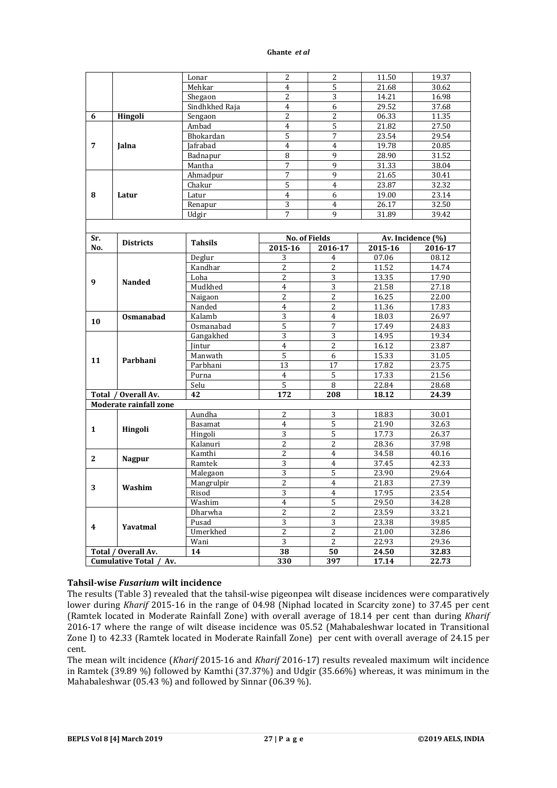| $\overline{4}$<br>5<br>21.68<br>Mehkar<br>30.62<br>$\overline{3}$<br>$\overline{2}$<br>14.21<br>16.98<br>Shegaon<br>Sindhkhed Raja<br>$\overline{4}$<br>6<br>29.52<br>37.68<br>Hingoli<br>$\overline{2}$<br>$\overline{2}$<br>06.33<br>11.35<br>Sengaon<br>6<br>$\overline{4}$<br>5<br>Ambad<br>21.82<br>27.50<br>5<br>$\overline{7}$<br>23.54<br>29.54<br>Bhokardan<br>Jafrabad<br>$\overline{4}$<br>$\overline{4}$<br>19.78<br>20.85<br>7<br>Jalna<br>9<br>Badnapur<br>8<br>28.90<br>31.52<br>$\overline{7}$<br>9<br>31.33<br>Mantha<br>38.04<br>$\overline{7}$<br>9<br>21.65<br>30.41<br>Ahmadpur<br>5<br>23.87<br>32.32<br>Chakur<br>$\overline{4}$<br>$\overline{4}$<br>6<br>19.00<br>23.14<br>8<br>Latur<br>Latur<br>$\overline{3}$<br>$\overline{4}$<br>26.17<br>32.50<br>Renapur<br>$\overline{7}$<br>9<br>31.89<br>39.42<br>Udgir<br><b>No. of Fields</b><br>Av. Incidence (%)<br>Sr.<br><b>Districts</b><br><b>Tahsils</b><br>No.<br>2015-16<br>2016-17<br>2015-16<br>2016-17<br>08.12<br>07.06<br>Deglur<br>3<br>4<br>Kandhar<br>$\overline{2}$<br>2<br>11.52<br>14.74<br>2<br>3<br>Loha<br>13.35<br>17.90<br>9<br><b>Nanded</b><br>$\overline{3}$<br>Mudkhed<br>$\overline{4}$<br>21.58<br>27.18<br>2<br>2<br>16.25<br>22.00<br>Naigaon<br>$\overline{c}$<br>Nanded<br>$\overline{4}$<br>11.36<br>17.83<br>3<br>Kalamb<br>$\overline{4}$<br>18.03<br>Osmanabad<br>26.97<br>10<br>5<br>7<br>17.49<br>24.83<br>Osmanabad<br>3<br>3<br>14.95<br>19.34<br>Gangakhed<br>$\overline{c}$<br>$\overline{4}$<br>16.12<br>23.87<br>Jintur<br>5<br>6<br>Manwath<br>15.33<br>31.05<br>11<br>Parbhani<br>13<br>17<br>17.82<br>23.75<br>Parbhani<br>17.33<br>5<br>21.56<br>Purna<br>4<br>5<br>8<br>Selu<br>22.84<br>28.68<br>172<br>Total / Overall Av.<br>42<br>208<br>18.12<br>24.39<br>Moderate rainfall zone<br>Aundha<br>$\overline{2}$<br>3<br>18.83<br>30.01<br>5<br>$\overline{4}$<br>21.90<br>Basamat<br>32.63<br>1<br>Hingoli<br>5<br>$\overline{3}$<br>17.73<br>Hingoli<br>26.37<br>$\overline{2}$<br>$\overline{2}$<br>28.36<br>37.98<br>Kalanuri<br>$\overline{c}$<br>Kamthi<br>$\overline{4}$<br>34.58<br>40.16<br>$\mathbf{2}$<br><b>Nagpur</b><br>3<br>37.45<br>Ramtek<br>$\overline{4}$<br>42.33<br>5<br>3<br>23.90<br>29.64<br>Malegaon<br>$\overline{c}$<br>Mangrulpir<br>$\overline{4}$<br>27.39<br>21.83<br>3<br>Washim<br>Risod<br>3<br>4<br>17.95<br>23.54<br>5<br>$\overline{4}$<br>29.50<br>34.28<br>Washim<br>$\overline{c}$<br>$\mathbf{2}$<br>33.21<br>Dharwha<br>23.59<br>3<br>$\sqrt{3}$<br>Pusad<br>23.38<br>39.85<br>Yavatmal<br>4<br>Umerkhed<br>2<br>2<br>21.00<br>32.86<br>3<br>$\overline{c}$<br>Wani<br>22.93<br>29.36<br>50<br>Total / Overall Av.<br>14<br>38<br>32.83<br>24.50<br>Cumulative Total /<br>330<br>397<br>17.14<br>22.73<br>Av. |  |       |   |                |       |       |
|-----------------------------------------------------------------------------------------------------------------------------------------------------------------------------------------------------------------------------------------------------------------------------------------------------------------------------------------------------------------------------------------------------------------------------------------------------------------------------------------------------------------------------------------------------------------------------------------------------------------------------------------------------------------------------------------------------------------------------------------------------------------------------------------------------------------------------------------------------------------------------------------------------------------------------------------------------------------------------------------------------------------------------------------------------------------------------------------------------------------------------------------------------------------------------------------------------------------------------------------------------------------------------------------------------------------------------------------------------------------------------------------------------------------------------------------------------------------------------------------------------------------------------------------------------------------------------------------------------------------------------------------------------------------------------------------------------------------------------------------------------------------------------------------------------------------------------------------------------------------------------------------------------------------------------------------------------------------------------------------------------------------------------------------------------------------------------------------------------------------------------------------------------------------------------------------------------------------------------------------------------------------------------------------------------------------------------------------------------------------------------------------------------------------------------------------------------------------------------------------------------------------------------------------------------------------------------------------------------------------------------------------------------------------------------------------------------------------------------------------------------------------------------------|--|-------|---|----------------|-------|-------|
|                                                                                                                                                                                                                                                                                                                                                                                                                                                                                                                                                                                                                                                                                                                                                                                                                                                                                                                                                                                                                                                                                                                                                                                                                                                                                                                                                                                                                                                                                                                                                                                                                                                                                                                                                                                                                                                                                                                                                                                                                                                                                                                                                                                                                                                                                                                                                                                                                                                                                                                                                                                                                                                                                                                                                                                   |  | Lonar | 2 | $\overline{2}$ | 11.50 | 19.37 |
|                                                                                                                                                                                                                                                                                                                                                                                                                                                                                                                                                                                                                                                                                                                                                                                                                                                                                                                                                                                                                                                                                                                                                                                                                                                                                                                                                                                                                                                                                                                                                                                                                                                                                                                                                                                                                                                                                                                                                                                                                                                                                                                                                                                                                                                                                                                                                                                                                                                                                                                                                                                                                                                                                                                                                                                   |  |       |   |                |       |       |
|                                                                                                                                                                                                                                                                                                                                                                                                                                                                                                                                                                                                                                                                                                                                                                                                                                                                                                                                                                                                                                                                                                                                                                                                                                                                                                                                                                                                                                                                                                                                                                                                                                                                                                                                                                                                                                                                                                                                                                                                                                                                                                                                                                                                                                                                                                                                                                                                                                                                                                                                                                                                                                                                                                                                                                                   |  |       |   |                |       |       |
|                                                                                                                                                                                                                                                                                                                                                                                                                                                                                                                                                                                                                                                                                                                                                                                                                                                                                                                                                                                                                                                                                                                                                                                                                                                                                                                                                                                                                                                                                                                                                                                                                                                                                                                                                                                                                                                                                                                                                                                                                                                                                                                                                                                                                                                                                                                                                                                                                                                                                                                                                                                                                                                                                                                                                                                   |  |       |   |                |       |       |
|                                                                                                                                                                                                                                                                                                                                                                                                                                                                                                                                                                                                                                                                                                                                                                                                                                                                                                                                                                                                                                                                                                                                                                                                                                                                                                                                                                                                                                                                                                                                                                                                                                                                                                                                                                                                                                                                                                                                                                                                                                                                                                                                                                                                                                                                                                                                                                                                                                                                                                                                                                                                                                                                                                                                                                                   |  |       |   |                |       |       |
|                                                                                                                                                                                                                                                                                                                                                                                                                                                                                                                                                                                                                                                                                                                                                                                                                                                                                                                                                                                                                                                                                                                                                                                                                                                                                                                                                                                                                                                                                                                                                                                                                                                                                                                                                                                                                                                                                                                                                                                                                                                                                                                                                                                                                                                                                                                                                                                                                                                                                                                                                                                                                                                                                                                                                                                   |  |       |   |                |       |       |
|                                                                                                                                                                                                                                                                                                                                                                                                                                                                                                                                                                                                                                                                                                                                                                                                                                                                                                                                                                                                                                                                                                                                                                                                                                                                                                                                                                                                                                                                                                                                                                                                                                                                                                                                                                                                                                                                                                                                                                                                                                                                                                                                                                                                                                                                                                                                                                                                                                                                                                                                                                                                                                                                                                                                                                                   |  |       |   |                |       |       |
|                                                                                                                                                                                                                                                                                                                                                                                                                                                                                                                                                                                                                                                                                                                                                                                                                                                                                                                                                                                                                                                                                                                                                                                                                                                                                                                                                                                                                                                                                                                                                                                                                                                                                                                                                                                                                                                                                                                                                                                                                                                                                                                                                                                                                                                                                                                                                                                                                                                                                                                                                                                                                                                                                                                                                                                   |  |       |   |                |       |       |
|                                                                                                                                                                                                                                                                                                                                                                                                                                                                                                                                                                                                                                                                                                                                                                                                                                                                                                                                                                                                                                                                                                                                                                                                                                                                                                                                                                                                                                                                                                                                                                                                                                                                                                                                                                                                                                                                                                                                                                                                                                                                                                                                                                                                                                                                                                                                                                                                                                                                                                                                                                                                                                                                                                                                                                                   |  |       |   |                |       |       |
|                                                                                                                                                                                                                                                                                                                                                                                                                                                                                                                                                                                                                                                                                                                                                                                                                                                                                                                                                                                                                                                                                                                                                                                                                                                                                                                                                                                                                                                                                                                                                                                                                                                                                                                                                                                                                                                                                                                                                                                                                                                                                                                                                                                                                                                                                                                                                                                                                                                                                                                                                                                                                                                                                                                                                                                   |  |       |   |                |       |       |
|                                                                                                                                                                                                                                                                                                                                                                                                                                                                                                                                                                                                                                                                                                                                                                                                                                                                                                                                                                                                                                                                                                                                                                                                                                                                                                                                                                                                                                                                                                                                                                                                                                                                                                                                                                                                                                                                                                                                                                                                                                                                                                                                                                                                                                                                                                                                                                                                                                                                                                                                                                                                                                                                                                                                                                                   |  |       |   |                |       |       |
|                                                                                                                                                                                                                                                                                                                                                                                                                                                                                                                                                                                                                                                                                                                                                                                                                                                                                                                                                                                                                                                                                                                                                                                                                                                                                                                                                                                                                                                                                                                                                                                                                                                                                                                                                                                                                                                                                                                                                                                                                                                                                                                                                                                                                                                                                                                                                                                                                                                                                                                                                                                                                                                                                                                                                                                   |  |       |   |                |       |       |
|                                                                                                                                                                                                                                                                                                                                                                                                                                                                                                                                                                                                                                                                                                                                                                                                                                                                                                                                                                                                                                                                                                                                                                                                                                                                                                                                                                                                                                                                                                                                                                                                                                                                                                                                                                                                                                                                                                                                                                                                                                                                                                                                                                                                                                                                                                                                                                                                                                                                                                                                                                                                                                                                                                                                                                                   |  |       |   |                |       |       |
|                                                                                                                                                                                                                                                                                                                                                                                                                                                                                                                                                                                                                                                                                                                                                                                                                                                                                                                                                                                                                                                                                                                                                                                                                                                                                                                                                                                                                                                                                                                                                                                                                                                                                                                                                                                                                                                                                                                                                                                                                                                                                                                                                                                                                                                                                                                                                                                                                                                                                                                                                                                                                                                                                                                                                                                   |  |       |   |                |       |       |
|                                                                                                                                                                                                                                                                                                                                                                                                                                                                                                                                                                                                                                                                                                                                                                                                                                                                                                                                                                                                                                                                                                                                                                                                                                                                                                                                                                                                                                                                                                                                                                                                                                                                                                                                                                                                                                                                                                                                                                                                                                                                                                                                                                                                                                                                                                                                                                                                                                                                                                                                                                                                                                                                                                                                                                                   |  |       |   |                |       |       |
|                                                                                                                                                                                                                                                                                                                                                                                                                                                                                                                                                                                                                                                                                                                                                                                                                                                                                                                                                                                                                                                                                                                                                                                                                                                                                                                                                                                                                                                                                                                                                                                                                                                                                                                                                                                                                                                                                                                                                                                                                                                                                                                                                                                                                                                                                                                                                                                                                                                                                                                                                                                                                                                                                                                                                                                   |  |       |   |                |       |       |
|                                                                                                                                                                                                                                                                                                                                                                                                                                                                                                                                                                                                                                                                                                                                                                                                                                                                                                                                                                                                                                                                                                                                                                                                                                                                                                                                                                                                                                                                                                                                                                                                                                                                                                                                                                                                                                                                                                                                                                                                                                                                                                                                                                                                                                                                                                                                                                                                                                                                                                                                                                                                                                                                                                                                                                                   |  |       |   |                |       |       |
|                                                                                                                                                                                                                                                                                                                                                                                                                                                                                                                                                                                                                                                                                                                                                                                                                                                                                                                                                                                                                                                                                                                                                                                                                                                                                                                                                                                                                                                                                                                                                                                                                                                                                                                                                                                                                                                                                                                                                                                                                                                                                                                                                                                                                                                                                                                                                                                                                                                                                                                                                                                                                                                                                                                                                                                   |  |       |   |                |       |       |
|                                                                                                                                                                                                                                                                                                                                                                                                                                                                                                                                                                                                                                                                                                                                                                                                                                                                                                                                                                                                                                                                                                                                                                                                                                                                                                                                                                                                                                                                                                                                                                                                                                                                                                                                                                                                                                                                                                                                                                                                                                                                                                                                                                                                                                                                                                                                                                                                                                                                                                                                                                                                                                                                                                                                                                                   |  |       |   |                |       |       |
|                                                                                                                                                                                                                                                                                                                                                                                                                                                                                                                                                                                                                                                                                                                                                                                                                                                                                                                                                                                                                                                                                                                                                                                                                                                                                                                                                                                                                                                                                                                                                                                                                                                                                                                                                                                                                                                                                                                                                                                                                                                                                                                                                                                                                                                                                                                                                                                                                                                                                                                                                                                                                                                                                                                                                                                   |  |       |   |                |       |       |
|                                                                                                                                                                                                                                                                                                                                                                                                                                                                                                                                                                                                                                                                                                                                                                                                                                                                                                                                                                                                                                                                                                                                                                                                                                                                                                                                                                                                                                                                                                                                                                                                                                                                                                                                                                                                                                                                                                                                                                                                                                                                                                                                                                                                                                                                                                                                                                                                                                                                                                                                                                                                                                                                                                                                                                                   |  |       |   |                |       |       |
|                                                                                                                                                                                                                                                                                                                                                                                                                                                                                                                                                                                                                                                                                                                                                                                                                                                                                                                                                                                                                                                                                                                                                                                                                                                                                                                                                                                                                                                                                                                                                                                                                                                                                                                                                                                                                                                                                                                                                                                                                                                                                                                                                                                                                                                                                                                                                                                                                                                                                                                                                                                                                                                                                                                                                                                   |  |       |   |                |       |       |
|                                                                                                                                                                                                                                                                                                                                                                                                                                                                                                                                                                                                                                                                                                                                                                                                                                                                                                                                                                                                                                                                                                                                                                                                                                                                                                                                                                                                                                                                                                                                                                                                                                                                                                                                                                                                                                                                                                                                                                                                                                                                                                                                                                                                                                                                                                                                                                                                                                                                                                                                                                                                                                                                                                                                                                                   |  |       |   |                |       |       |
|                                                                                                                                                                                                                                                                                                                                                                                                                                                                                                                                                                                                                                                                                                                                                                                                                                                                                                                                                                                                                                                                                                                                                                                                                                                                                                                                                                                                                                                                                                                                                                                                                                                                                                                                                                                                                                                                                                                                                                                                                                                                                                                                                                                                                                                                                                                                                                                                                                                                                                                                                                                                                                                                                                                                                                                   |  |       |   |                |       |       |
|                                                                                                                                                                                                                                                                                                                                                                                                                                                                                                                                                                                                                                                                                                                                                                                                                                                                                                                                                                                                                                                                                                                                                                                                                                                                                                                                                                                                                                                                                                                                                                                                                                                                                                                                                                                                                                                                                                                                                                                                                                                                                                                                                                                                                                                                                                                                                                                                                                                                                                                                                                                                                                                                                                                                                                                   |  |       |   |                |       |       |
|                                                                                                                                                                                                                                                                                                                                                                                                                                                                                                                                                                                                                                                                                                                                                                                                                                                                                                                                                                                                                                                                                                                                                                                                                                                                                                                                                                                                                                                                                                                                                                                                                                                                                                                                                                                                                                                                                                                                                                                                                                                                                                                                                                                                                                                                                                                                                                                                                                                                                                                                                                                                                                                                                                                                                                                   |  |       |   |                |       |       |
|                                                                                                                                                                                                                                                                                                                                                                                                                                                                                                                                                                                                                                                                                                                                                                                                                                                                                                                                                                                                                                                                                                                                                                                                                                                                                                                                                                                                                                                                                                                                                                                                                                                                                                                                                                                                                                                                                                                                                                                                                                                                                                                                                                                                                                                                                                                                                                                                                                                                                                                                                                                                                                                                                                                                                                                   |  |       |   |                |       |       |
|                                                                                                                                                                                                                                                                                                                                                                                                                                                                                                                                                                                                                                                                                                                                                                                                                                                                                                                                                                                                                                                                                                                                                                                                                                                                                                                                                                                                                                                                                                                                                                                                                                                                                                                                                                                                                                                                                                                                                                                                                                                                                                                                                                                                                                                                                                                                                                                                                                                                                                                                                                                                                                                                                                                                                                                   |  |       |   |                |       |       |
|                                                                                                                                                                                                                                                                                                                                                                                                                                                                                                                                                                                                                                                                                                                                                                                                                                                                                                                                                                                                                                                                                                                                                                                                                                                                                                                                                                                                                                                                                                                                                                                                                                                                                                                                                                                                                                                                                                                                                                                                                                                                                                                                                                                                                                                                                                                                                                                                                                                                                                                                                                                                                                                                                                                                                                                   |  |       |   |                |       |       |
|                                                                                                                                                                                                                                                                                                                                                                                                                                                                                                                                                                                                                                                                                                                                                                                                                                                                                                                                                                                                                                                                                                                                                                                                                                                                                                                                                                                                                                                                                                                                                                                                                                                                                                                                                                                                                                                                                                                                                                                                                                                                                                                                                                                                                                                                                                                                                                                                                                                                                                                                                                                                                                                                                                                                                                                   |  |       |   |                |       |       |
|                                                                                                                                                                                                                                                                                                                                                                                                                                                                                                                                                                                                                                                                                                                                                                                                                                                                                                                                                                                                                                                                                                                                                                                                                                                                                                                                                                                                                                                                                                                                                                                                                                                                                                                                                                                                                                                                                                                                                                                                                                                                                                                                                                                                                                                                                                                                                                                                                                                                                                                                                                                                                                                                                                                                                                                   |  |       |   |                |       |       |
|                                                                                                                                                                                                                                                                                                                                                                                                                                                                                                                                                                                                                                                                                                                                                                                                                                                                                                                                                                                                                                                                                                                                                                                                                                                                                                                                                                                                                                                                                                                                                                                                                                                                                                                                                                                                                                                                                                                                                                                                                                                                                                                                                                                                                                                                                                                                                                                                                                                                                                                                                                                                                                                                                                                                                                                   |  |       |   |                |       |       |
|                                                                                                                                                                                                                                                                                                                                                                                                                                                                                                                                                                                                                                                                                                                                                                                                                                                                                                                                                                                                                                                                                                                                                                                                                                                                                                                                                                                                                                                                                                                                                                                                                                                                                                                                                                                                                                                                                                                                                                                                                                                                                                                                                                                                                                                                                                                                                                                                                                                                                                                                                                                                                                                                                                                                                                                   |  |       |   |                |       |       |
|                                                                                                                                                                                                                                                                                                                                                                                                                                                                                                                                                                                                                                                                                                                                                                                                                                                                                                                                                                                                                                                                                                                                                                                                                                                                                                                                                                                                                                                                                                                                                                                                                                                                                                                                                                                                                                                                                                                                                                                                                                                                                                                                                                                                                                                                                                                                                                                                                                                                                                                                                                                                                                                                                                                                                                                   |  |       |   |                |       |       |
|                                                                                                                                                                                                                                                                                                                                                                                                                                                                                                                                                                                                                                                                                                                                                                                                                                                                                                                                                                                                                                                                                                                                                                                                                                                                                                                                                                                                                                                                                                                                                                                                                                                                                                                                                                                                                                                                                                                                                                                                                                                                                                                                                                                                                                                                                                                                                                                                                                                                                                                                                                                                                                                                                                                                                                                   |  |       |   |                |       |       |
|                                                                                                                                                                                                                                                                                                                                                                                                                                                                                                                                                                                                                                                                                                                                                                                                                                                                                                                                                                                                                                                                                                                                                                                                                                                                                                                                                                                                                                                                                                                                                                                                                                                                                                                                                                                                                                                                                                                                                                                                                                                                                                                                                                                                                                                                                                                                                                                                                                                                                                                                                                                                                                                                                                                                                                                   |  |       |   |                |       |       |
|                                                                                                                                                                                                                                                                                                                                                                                                                                                                                                                                                                                                                                                                                                                                                                                                                                                                                                                                                                                                                                                                                                                                                                                                                                                                                                                                                                                                                                                                                                                                                                                                                                                                                                                                                                                                                                                                                                                                                                                                                                                                                                                                                                                                                                                                                                                                                                                                                                                                                                                                                                                                                                                                                                                                                                                   |  |       |   |                |       |       |
|                                                                                                                                                                                                                                                                                                                                                                                                                                                                                                                                                                                                                                                                                                                                                                                                                                                                                                                                                                                                                                                                                                                                                                                                                                                                                                                                                                                                                                                                                                                                                                                                                                                                                                                                                                                                                                                                                                                                                                                                                                                                                                                                                                                                                                                                                                                                                                                                                                                                                                                                                                                                                                                                                                                                                                                   |  |       |   |                |       |       |
|                                                                                                                                                                                                                                                                                                                                                                                                                                                                                                                                                                                                                                                                                                                                                                                                                                                                                                                                                                                                                                                                                                                                                                                                                                                                                                                                                                                                                                                                                                                                                                                                                                                                                                                                                                                                                                                                                                                                                                                                                                                                                                                                                                                                                                                                                                                                                                                                                                                                                                                                                                                                                                                                                                                                                                                   |  |       |   |                |       |       |
|                                                                                                                                                                                                                                                                                                                                                                                                                                                                                                                                                                                                                                                                                                                                                                                                                                                                                                                                                                                                                                                                                                                                                                                                                                                                                                                                                                                                                                                                                                                                                                                                                                                                                                                                                                                                                                                                                                                                                                                                                                                                                                                                                                                                                                                                                                                                                                                                                                                                                                                                                                                                                                                                                                                                                                                   |  |       |   |                |       |       |
|                                                                                                                                                                                                                                                                                                                                                                                                                                                                                                                                                                                                                                                                                                                                                                                                                                                                                                                                                                                                                                                                                                                                                                                                                                                                                                                                                                                                                                                                                                                                                                                                                                                                                                                                                                                                                                                                                                                                                                                                                                                                                                                                                                                                                                                                                                                                                                                                                                                                                                                                                                                                                                                                                                                                                                                   |  |       |   |                |       |       |
|                                                                                                                                                                                                                                                                                                                                                                                                                                                                                                                                                                                                                                                                                                                                                                                                                                                                                                                                                                                                                                                                                                                                                                                                                                                                                                                                                                                                                                                                                                                                                                                                                                                                                                                                                                                                                                                                                                                                                                                                                                                                                                                                                                                                                                                                                                                                                                                                                                                                                                                                                                                                                                                                                                                                                                                   |  |       |   |                |       |       |
|                                                                                                                                                                                                                                                                                                                                                                                                                                                                                                                                                                                                                                                                                                                                                                                                                                                                                                                                                                                                                                                                                                                                                                                                                                                                                                                                                                                                                                                                                                                                                                                                                                                                                                                                                                                                                                                                                                                                                                                                                                                                                                                                                                                                                                                                                                                                                                                                                                                                                                                                                                                                                                                                                                                                                                                   |  |       |   |                |       |       |
|                                                                                                                                                                                                                                                                                                                                                                                                                                                                                                                                                                                                                                                                                                                                                                                                                                                                                                                                                                                                                                                                                                                                                                                                                                                                                                                                                                                                                                                                                                                                                                                                                                                                                                                                                                                                                                                                                                                                                                                                                                                                                                                                                                                                                                                                                                                                                                                                                                                                                                                                                                                                                                                                                                                                                                                   |  |       |   |                |       |       |
|                                                                                                                                                                                                                                                                                                                                                                                                                                                                                                                                                                                                                                                                                                                                                                                                                                                                                                                                                                                                                                                                                                                                                                                                                                                                                                                                                                                                                                                                                                                                                                                                                                                                                                                                                                                                                                                                                                                                                                                                                                                                                                                                                                                                                                                                                                                                                                                                                                                                                                                                                                                                                                                                                                                                                                                   |  |       |   |                |       |       |
|                                                                                                                                                                                                                                                                                                                                                                                                                                                                                                                                                                                                                                                                                                                                                                                                                                                                                                                                                                                                                                                                                                                                                                                                                                                                                                                                                                                                                                                                                                                                                                                                                                                                                                                                                                                                                                                                                                                                                                                                                                                                                                                                                                                                                                                                                                                                                                                                                                                                                                                                                                                                                                                                                                                                                                                   |  |       |   |                |       |       |
|                                                                                                                                                                                                                                                                                                                                                                                                                                                                                                                                                                                                                                                                                                                                                                                                                                                                                                                                                                                                                                                                                                                                                                                                                                                                                                                                                                                                                                                                                                                                                                                                                                                                                                                                                                                                                                                                                                                                                                                                                                                                                                                                                                                                                                                                                                                                                                                                                                                                                                                                                                                                                                                                                                                                                                                   |  |       |   |                |       |       |
|                                                                                                                                                                                                                                                                                                                                                                                                                                                                                                                                                                                                                                                                                                                                                                                                                                                                                                                                                                                                                                                                                                                                                                                                                                                                                                                                                                                                                                                                                                                                                                                                                                                                                                                                                                                                                                                                                                                                                                                                                                                                                                                                                                                                                                                                                                                                                                                                                                                                                                                                                                                                                                                                                                                                                                                   |  |       |   |                |       |       |
|                                                                                                                                                                                                                                                                                                                                                                                                                                                                                                                                                                                                                                                                                                                                                                                                                                                                                                                                                                                                                                                                                                                                                                                                                                                                                                                                                                                                                                                                                                                                                                                                                                                                                                                                                                                                                                                                                                                                                                                                                                                                                                                                                                                                                                                                                                                                                                                                                                                                                                                                                                                                                                                                                                                                                                                   |  |       |   |                |       |       |
|                                                                                                                                                                                                                                                                                                                                                                                                                                                                                                                                                                                                                                                                                                                                                                                                                                                                                                                                                                                                                                                                                                                                                                                                                                                                                                                                                                                                                                                                                                                                                                                                                                                                                                                                                                                                                                                                                                                                                                                                                                                                                                                                                                                                                                                                                                                                                                                                                                                                                                                                                                                                                                                                                                                                                                                   |  |       |   |                |       |       |
|                                                                                                                                                                                                                                                                                                                                                                                                                                                                                                                                                                                                                                                                                                                                                                                                                                                                                                                                                                                                                                                                                                                                                                                                                                                                                                                                                                                                                                                                                                                                                                                                                                                                                                                                                                                                                                                                                                                                                                                                                                                                                                                                                                                                                                                                                                                                                                                                                                                                                                                                                                                                                                                                                                                                                                                   |  |       |   |                |       |       |

## **Tahsil-wise** *Fusarium* **wilt incidence**

The results (Table 3) revealed that the tahsil-wise pigeonpea wilt disease incidences were comparatively lower during *Kharif* 2015-16 in the range of 04.98 (Niphad located in Scarcity zone) to 37.45 per cent (Ramtek located in Moderate Rainfall Zone) with overall average of 18.14 per cent than during *Kharif* 2016-17 where the range of wilt disease incidence was 05.52 (Mahabaleshwar located in Transitional Zone I) to 42.33 (Ramtek located in Moderate Rainfall Zone) per cent with overall average of 24.15 per cent.

The mean wilt incidence (*Kharif* 2015-16 and *Kharif* 2016-17) results revealed maximum wilt incidence in Ramtek (39.89 %) followed by Kamthi (37.37%) and Udgir (35.66%) whereas, it was minimum in the Mahabaleshwar (05.43 %) and followed by Sinnar (06.39 %).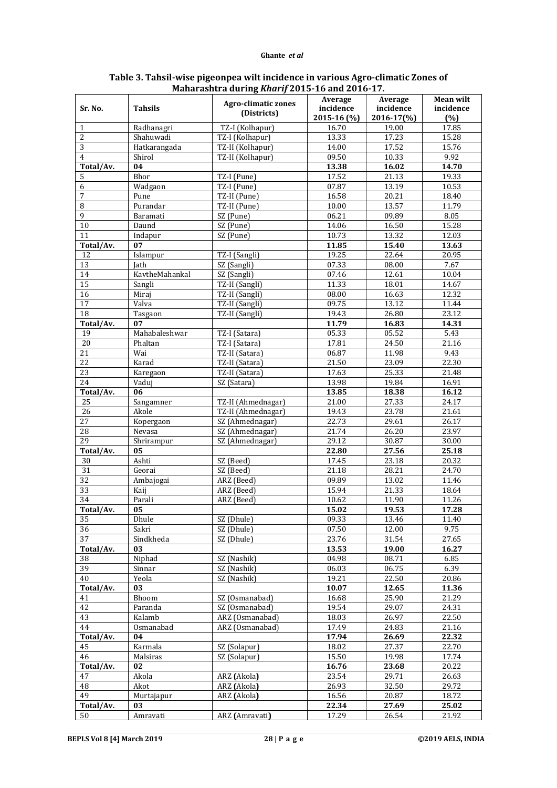| Sr. No.         | <b>Tahsils</b>          | <b>Agro-climatic zones</b>         | Average<br>incidence | Average<br>incidence | <b>Mean wilt</b><br>incidence |
|-----------------|-------------------------|------------------------------------|----------------------|----------------------|-------------------------------|
|                 |                         | (Districts)                        | 2015-16 (%)          | 2016-17(%)           |                               |
|                 |                         |                                    | 16.70                |                      | (%)<br>17.85                  |
| 1<br>2          | Radhanagri<br>Shahuwadi | TZ-I (Kolhapur)<br>TZ-I (Kolhapur) | 13.33                | 19.00<br>17.23       | 15.28                         |
| 3               | Hatkarangada            | TZ-II (Kolhapur)                   | 14.00                | 17.52                | 15.76                         |
| 4               | Shirol                  | TZ-II (Kolhapur)                   | 09.50                | 10.33                | 9.92                          |
| Total/Av.       | 04                      |                                    | 13.38                | 16.02                | 14.70                         |
| 5               | Bhor                    | TZ-I (Pune)                        | 17.52                | 21.13                | 19.33                         |
| 6               | Wadgaon                 | TZ-I (Pune)                        | 07.87                | 13.19                | 10.53                         |
| 7               | Pune                    | TZ-II (Pune)                       | 16.58                | 20.21                | 18.40                         |
| 8               | Purandar                | TZ-II (Pune)                       | 10.00                | 13.57                | 11.79                         |
| 9               | Baramati                | SZ (Pune)                          | 06.21                | 09.89                | 8.05                          |
| 10              | Daund                   | $\overline{\text{SZ}}$ (Pune)      | 14.06                | 16.50                | 15.28                         |
| 11              | Indapur                 | SZ (Pune)                          | 10.73                | 13.32                | 12.03                         |
| Total/Av.       | 07                      |                                    | 11.85                | 15.40                | 13.63                         |
| 12              | Islampur                | TZ-I (Sangli)                      | 19.25                | 22.64                | 20.95                         |
| 13              | <b>Jath</b>             | SZ (Sangli)                        | 07.33                | 08.00                | 7.67                          |
| 14              | KavtheMahankal          | SZ (Sangli)                        | 07.46                | 12.61                | 10.04                         |
| $\overline{15}$ | Sangli                  | TZ-II (Sangli)                     | 11.33                | 18.01                | 14.67                         |
| 16              | Miraj                   | TZ-II (Sangli)                     | 08.00                | 16.63                | 12.32                         |
| 17              | Valva                   | TZ-II (Sangli)                     | 09.75                | 13.12                | 11.44                         |
| 18              | Tasgaon                 | TZ-II (Sangli)                     | 19.43                | 26.80                | 23.12                         |
| Total/Av.       | 07                      |                                    | 11.79                | 16.83                | 14.31                         |
| 19              | Mahabaleshwar           | TZ-I (Satara)                      | 05.33                | 05.52                | 5.43                          |
| 20              | Phaltan                 | TZ-I (Satara)                      | 17.81                | 24.50                | 21.16                         |
| 21              | Wai                     | TZ-II (Satara)                     | 06.87                | 11.98                | 9.43                          |
| 22              | Karad                   | TZ-II (Satara)                     | 21.50                | 23.09                | 22.30                         |
| 23              | Karegaon                | TZ-II (Satara)                     | 17.63                | 25.33                | 21.48                         |
| 24              | Vaduj                   | SZ (Satara)                        | 13.98                | 19.84                | 16.91                         |
| Total/Av.       | 06                      |                                    | 13.85                | 18.38                | 16.12                         |
| 25              | Sangamner               | TZ-II (Ahmednagar)                 | 21.00                | 27.33                | 24.17                         |
| 26              | Akole                   | TZ-II (Ahmednagar)                 | 19.43                | 23.78                | 21.61                         |
| 27              | Kopergaon               | SZ (Ahmednagar)                    | 22.73                | 29.61                | 26.17                         |
| 28              | Nevasa                  | SZ (Ahmednagar)                    | 21.74                | 26.20                | 23.97                         |
| 29              | Shrirampur              | SZ (Ahmednagar)                    | 29.12                | 30.87                | 30.00                         |
| Total/Av.       | 05                      |                                    | 22.80                | 27.56                | 25.18                         |
| 30              | Ashti                   | SZ (Beed)                          | 17.45                | 23.18                | 20.32                         |
| 31              | Georai                  | SZ (Beed)                          | 21.18                | 28.21                | 24.70                         |
| $\overline{32}$ | Ambajogai               | ARZ (Beed)                         | 09.89                | 13.02                | 11.46                         |
| $\overline{33}$ | Kaij                    | ARZ (Beed)                         | 15.94                | 21.33                | 18.64                         |
| 34              | Parali                  | ARZ (Beed)                         | 10.62                | 11.90                | 11.26                         |
| Total/Av.       | 05                      |                                    | 15.02                | 19.53                | 17.28                         |
| 35              | Dhule                   | SZ (Dhule)                         | 09.33                | 13.46                | 11.40                         |
| 36              | Sakri                   | SZ (Dhule)                         | 07.50                | 12.00                | 9.75                          |
| 37              | Sindkheda               | SZ (Dhule)                         | 23.76                | 31.54                | 27.65                         |
| Total/Av.       | 03                      |                                    | 13.53                | 19.00                | 16.27                         |
| 38              | Niphad                  | SZ (Nashik)                        | 04.98                | 08.71                | 6.85                          |
| 39              | Sinnar                  | SZ (Nashik)                        | 06.03                | 06.75                | 6.39                          |
| 40              | Yeola                   | SZ (Nashik)                        | 19.21                | 22.50                | 20.86                         |
| Total/Av.       | 03                      |                                    | 10.07                | 12.65                | 11.36                         |
| 41              | Bhoom                   | SZ (Osmanabad)                     | 16.68                | 25.90                | 21.29                         |
| 42              | Paranda                 | SZ (Osmanabad)                     | 19.54                | 29.07                | 24.31                         |
| 43              | Kalamb                  | ARZ (Osmanabad)                    | 18.03                | 26.97                | 22.50                         |
| 44              | Osmanabad               | ARZ (Osmanabad)                    | 17.49                | 24.83                | 21.16                         |
| Total/Av.       | 04                      |                                    | 17.94                | 26.69                | 22.32                         |
| 45              | Karmala                 | SZ (Solapur)                       | 18.02                | 27.37                | 22.70                         |
| 46              | Malsiras                | SZ (Solapur)                       | 15.50                | 19.98                | 17.74                         |
| Total/Av.       | 02                      |                                    | 16.76                | 23.68                | 20.22                         |
| 47              | Akola                   | ARZ (Akola)                        | 23.54                | 29.71                | 26.63                         |
| 48<br>49        | Akot                    | ARZ (Akola)                        | 26.93                | 32.50                | 29.72                         |
|                 | Murtajapur              | ARZ (Akola)                        | 16.56                | 20.87                | 18.72                         |
| Total/Av.       | 03                      |                                    | 22.34                | 27.69                | 25.02                         |
| 50              | Amravati                | ARZ (Amravati)                     | 17.29                | 26.54                | 21.92                         |

# **Table 3. Tahsil-wise pigeonpea wilt incidence in various Agro-climatic Zones of Maharashtra during** *Kharif* **2015-16 and 2016-17.**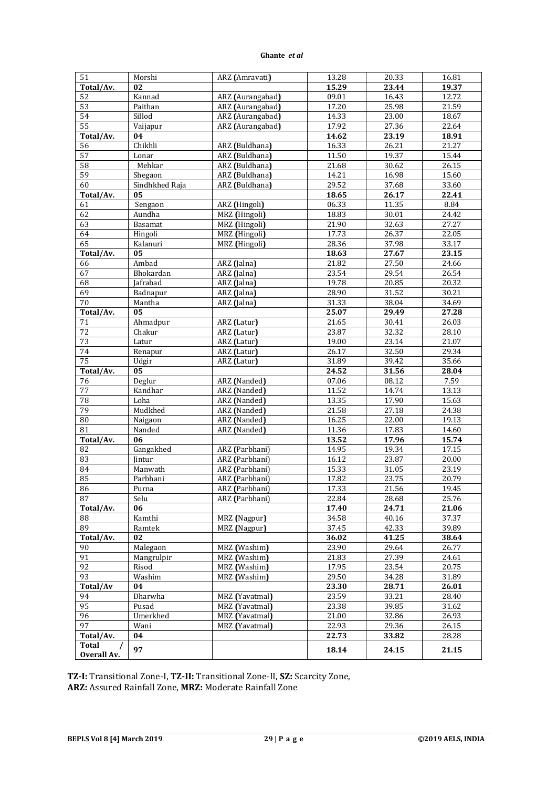| 51              | Morshi         | ARZ (Amravati)   | 13.28 | 20.33 | 16.81 |
|-----------------|----------------|------------------|-------|-------|-------|
| Total/Av.       | 02             |                  | 15.29 | 23.44 | 19.37 |
| 52              | Kannad         | ARZ (Aurangabad) | 09.01 | 16.43 | 12.72 |
| $\overline{53}$ | Paithan        | ARZ (Aurangabad) | 17.20 | 25.98 | 21.59 |
| 54              | Sillod         | ARZ (Aurangabad) | 14.33 | 23.00 | 18.67 |
| 55              |                |                  | 17.92 |       | 22.64 |
|                 | Vaijapur       | ARZ (Aurangabad) |       | 27.36 |       |
| Total/Av.       | 04             |                  | 14.62 | 23.19 | 18.91 |
| 56              | Chikhli        | ARZ (Buldhana)   | 16.33 | 26.21 | 21.27 |
| 57              | Lonar          | ARZ (Buldhana)   | 11.50 | 19.37 | 15.44 |
| 58              | Mehkar         | ARZ (Buldhana)   | 21.68 | 30.62 | 26.15 |
| $\overline{59}$ | Shegaon        | ARZ (Buldhana)   | 14.21 | 16.98 | 15.60 |
| 60              | Sindhkhed Raja | ARZ (Buldhana)   | 29.52 | 37.68 | 33.60 |
| Total/Av.       | 05             |                  | 18.65 | 26.17 | 22.41 |
| 61              | Sengaon        | ARZ (Hingoli)    | 06.33 | 11.35 | 8.84  |
| 62              | Aundha         | MRZ (Hingoli)    | 18.83 | 30.01 | 24.42 |
| 63              | Basamat        | MRZ (Hingoli)    | 21.90 | 32.63 | 27.27 |
| 64              | Hingoli        | MRZ (Hingoli)    | 17.73 | 26.37 | 22.05 |
| 65              | Kalanuri       | MRZ (Hingoli)    | 28.36 | 37.98 | 33.17 |
| Total/Av.       | 05             |                  | 18.63 | 27.67 | 23.15 |
| 66              | Ambad          | ARZ (Jalna)      | 21.82 | 27.50 | 24.66 |
| 67              | Bhokardan      | ARZ (Jalna)      | 23.54 | 29.54 | 26.54 |
| 68              | Jafrabad       | ARZ (Jalna)      | 19.78 | 20.85 | 20.32 |
| 69              | Badnapur       | ARZ (Jalna)      | 28.90 | 31.52 | 30.21 |
| $\overline{70}$ | Mantha         | ARZ (Jalna)      | 31.33 | 38.04 | 34.69 |
| Total/Av.       | 05             |                  | 25.07 | 29.49 | 27.28 |
| 71              | Ahmadpur       | ARZ (Latur)      | 21.65 | 30.41 | 26.03 |
| 72              | Chakur         | ARZ (Latur)      | 23.87 | 32.32 | 28.10 |
| 73              | Latur          | ARZ (Latur)      | 19.00 | 23.14 | 21.07 |
| 74              | Renapur        | ARZ (Latur)      | 26.17 | 32.50 | 29.34 |
| 75              | Udgir          | ARZ (Latur)      | 31.89 | 39.42 | 35.66 |
| Total/Av.       | 05             |                  | 24.52 | 31.56 | 28.04 |
| 76              | Deglur         | ARZ (Nanded)     | 07.06 | 08.12 | 7.59  |
| 77              | Kandhar        | ARZ (Nanded)     | 11.52 | 14.74 | 13.13 |
| 78              | Loha           | ARZ (Nanded)     | 13.35 | 17.90 | 15.63 |
| 79              | Mudkhed        | ARZ (Nanded)     | 21.58 | 27.18 | 24.38 |
| ${\bf 80}$      | Naigaon        | ARZ (Nanded)     | 16.25 | 22.00 | 19.13 |
| 81              | Nanded         | ARZ (Nanded)     | 11.36 | 17.83 | 14.60 |
| Total/Av.       | 06             |                  | 13.52 | 17.96 | 15.74 |
| 82              | Gangakhed      | ARZ (Parbhani)   | 14.95 | 19.34 | 17.15 |
| 83              | Jintur         | ARZ (Parbhani)   | 16.12 | 23.87 | 20.00 |
| 84              | Manwath        | ARZ (Parbhani)   | 15.33 | 31.05 | 23.19 |
| 85              | Parbhani       | ARZ (Parbhani)   | 17.82 | 23.75 | 20.79 |
| 86              | Purna          | ARZ (Parbhani)   | 17.33 | 21.56 | 19.45 |
| 87              | Selu           | ARZ (Parbhani)   | 22.84 | 28.68 | 25.76 |
| Total/Av.       | 06             |                  | 17.40 | 24.71 | 21.06 |
| 88              | Kamthi         | MRZ (Nagpur)     | 34.58 | 40.16 | 37.37 |
| 89              | Ramtek         | MRZ (Nagpur)     | 37.45 | 42.33 | 39.89 |
| Total/Av.       | 02             |                  | 36.02 | 41.25 | 38.64 |
| 90              | Malegaon       | MRZ (Washim)     | 23.90 | 29.64 | 26.77 |
| 91              | Mangrulpir     | MRZ (Washim)     | 21.83 | 27.39 | 24.61 |
| 92              | Risod          | MRZ (Washim)     | 17.95 | 23.54 | 20.75 |
| 93              | Washim         | MRZ (Washim)     | 29.50 | 34.28 | 31.89 |
| Total/Av        | 04             |                  | 23.30 | 28.71 | 26.01 |
| 94              | Dharwha        | MRZ (Yavatmal)   | 23.59 | 33.21 | 28.40 |
| 95              | Pusad          | MRZ (Yavatmal)   | 23.38 | 39.85 | 31.62 |
| 96              | Umerkhed       | MRZ (Yavatmal)   | 21.00 | 32.86 | 26.93 |
| 97              | Wani           | MRZ (Yavatmal)   | 22.93 | 29.36 | 26.15 |
| Total/Av.       | 04             |                  | 22.73 | 33.82 | 28.28 |
| Total           |                |                  |       |       |       |
| Overall Av.     | 97             |                  | 18.14 | 24.15 | 21.15 |

**TZ-I:** Transitional Zone-I, **TZ-II:** Transitional Zone-II, **SZ:** Scarcity Zone, **ARZ:** Assured Rainfall Zone, **MRZ:** Moderate Rainfall Zone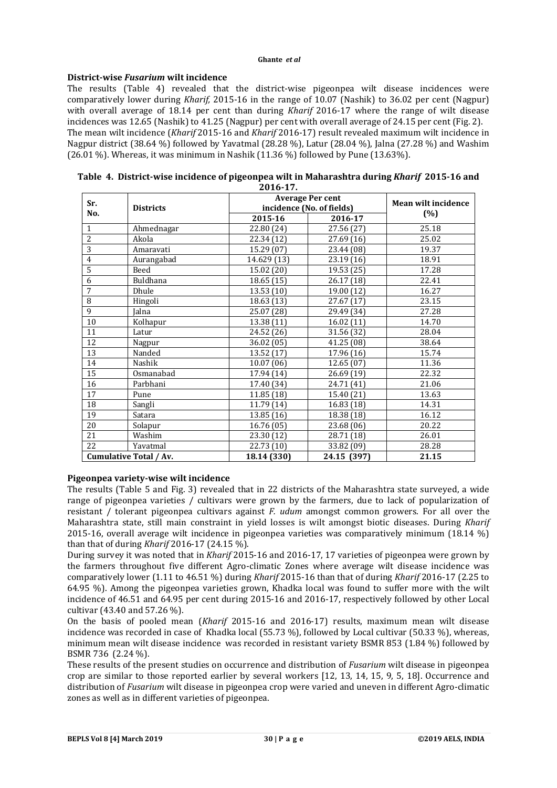# **District-wise** *Fusarium* **wilt incidence**

The results (Table 4) revealed that the district-wise pigeonpea wilt disease incidences were comparatively lower during *Kharif,* 2015-16 in the range of 10.07 (Nashik) to 36.02 per cent (Nagpur) with overall average of 18.14 per cent than during *Kharif* 2016-17 where the range of wilt disease incidences was 12.65 (Nashik) to 41.25 (Nagpur) per cent with overall average of 24.15 per cent (Fig. 2). The mean wilt incidence (*Kharif* 2015-16 and *Kharif* 2016-17) result revealed maximum wilt incidence in Nagpur district (38.64 %) followed by Yavatmal (28.28 %), Latur (28.04 %), Jalna (27.28 %) and Washim  $(26.01 \%)$ . Whereas, it was minimum in Nashik  $(11.36 \%)$  followed by Pune  $(13.63\%)$ .

|                | 2016-17.               |             |                           |                            |  |  |  |
|----------------|------------------------|-------------|---------------------------|----------------------------|--|--|--|
| Sr.            |                        |             | <b>Average Per cent</b>   | <b>Mean wilt incidence</b> |  |  |  |
| No.            | <b>Districts</b>       |             | incidence (No. of fields) | (%)                        |  |  |  |
|                |                        | 2015-16     | 2016-17                   |                            |  |  |  |
| $\mathbf{1}$   | Ahmednagar             | 22.80 (24)  | 27.56 (27)                | 25.18                      |  |  |  |
| $\overline{2}$ | Akola                  | 22.34 (12)  | 27.69 (16)                | 25.02                      |  |  |  |
| 3              | Amaravati              | 15.29 (07)  | 23.44 (08)                | 19.37                      |  |  |  |
| $\overline{4}$ | Aurangabad             | 14.629 (13) | 23.19 (16)                | 18.91                      |  |  |  |
| 5              | <b>Beed</b>            | 15.02 (20)  | 19.53 (25)                | 17.28                      |  |  |  |
| 6              | Buldhana               | 18.65 (15)  | 26.17 (18)                | 22.41                      |  |  |  |
| 7              | Dhule                  | 13.53 (10)  | 19.00 (12)                | 16.27                      |  |  |  |
| 8              | Hingoli                | 18.63 (13)  | 27.67 (17)                | 23.15                      |  |  |  |
| 9              | <b>Ialna</b>           | 25.07 (28)  | 29.49 (34)                | 27.28                      |  |  |  |
| 10             | Kolhapur               | 13.38 (11)  | 16.02(11)                 | 14.70                      |  |  |  |
| 11             | Latur                  | 24.52 (26)  | 31.56 (32)                | 28.04                      |  |  |  |
| 12             | Nagpur                 | 36.02 (05)  | 41.25 (08)                | 38.64                      |  |  |  |
| 13             | Nanded                 | 13.52 (17)  | 17.96 (16)                | 15.74                      |  |  |  |
| 14             | Nashik                 | 10.07(06)   | 12.65 (07)                | 11.36                      |  |  |  |
| 15             | Osmanabad              | 17.94 (14)  | 26.69 (19)                | 22.32                      |  |  |  |
| 16             | Parbhani               | 17.40 (34)  | 24.71 (41)                | 21.06                      |  |  |  |
| 17             | Pune                   | 11.85 (18)  | 15.40 (21)                | 13.63                      |  |  |  |
| 18             | Sangli                 | 11.79 (14)  | 16.83 (18)                | 14.31                      |  |  |  |
| 19             | Satara                 | 13.85(16)   | 18.38 (18)                | 16.12                      |  |  |  |
| 20             | Solapur                | 16.76 (05)  | 23.68 (06)                | 20.22                      |  |  |  |
| 21             | Washim                 | 23.30 (12)  | 28.71 (18)                | 26.01                      |  |  |  |
| 22             | Yavatmal               | 22.73 (10)  | 33.82 (09)                | 28.28                      |  |  |  |
|                | Cumulative Total / Av. | 18.14 (330) | 24.15 (397)               | 21.15                      |  |  |  |

| Table 4. District-wise incidence of pigeonpea wilt in Maharashtra during Kharif 2015-16 and |  |
|---------------------------------------------------------------------------------------------|--|
| 2016.17                                                                                     |  |

## **Pigeonpea variety-wise wilt incidence**

The results (Table 5 and Fig. 3) revealed that in 22 districts of the Maharashtra state surveyed, a wide range of pigeonpea varieties / cultivars were grown by the farmers, due to lack of popularization of resistant / tolerant pigeonpea cultivars against *F. udum* amongst common growers. For all over the Maharashtra state, still main constraint in yield losses is wilt amongst biotic diseases. During *Kharif* 2015-16, overall average wilt incidence in pigeonpea varieties was comparatively minimum (18.14 %) than that of during *Kharif* 2016-17 (24.15 %).

During survey it was noted that in *Kharif* 2015-16 and 2016-17, 17 varieties of pigeonpea were grown by the farmers throughout five different Agro-climatic Zones where average wilt disease incidence was comparatively lower (1.11 to 46.51 %) during *Kharif* 2015-16 than that of during *Kharif* 2016-17 (2.25 to 64.95 %). Among the pigeonpea varieties grown, Khadka local was found to suffer more with the wilt incidence of 46.51 and 64.95 per cent during 2015-16 and 2016-17, respectively followed by other Local cultivar (43.40 and 57.26 %).

On the basis of pooled mean (*Kharif* 2015-16 and 2016-17) results, maximum mean wilt disease incidence was recorded in case of Khadka local (55.73 %), followed by Local cultivar (50.33 %), whereas, minimum mean wilt disease incidence was recorded in resistant variety BSMR 853 (1.84 %) followed by BSMR 736 (2.24 %).

These results of the present studies on occurrence and distribution of *Fusarium* wilt disease in pigeonpea crop are similar to those reported earlier by several workers [12, 13, 14, 15, 9, 5, 18]. Occurrence and distribution of *Fusarium* wilt disease in pigeonpea crop were varied and uneven in different Agro-climatic zones as well as in different varieties of pigeonpea.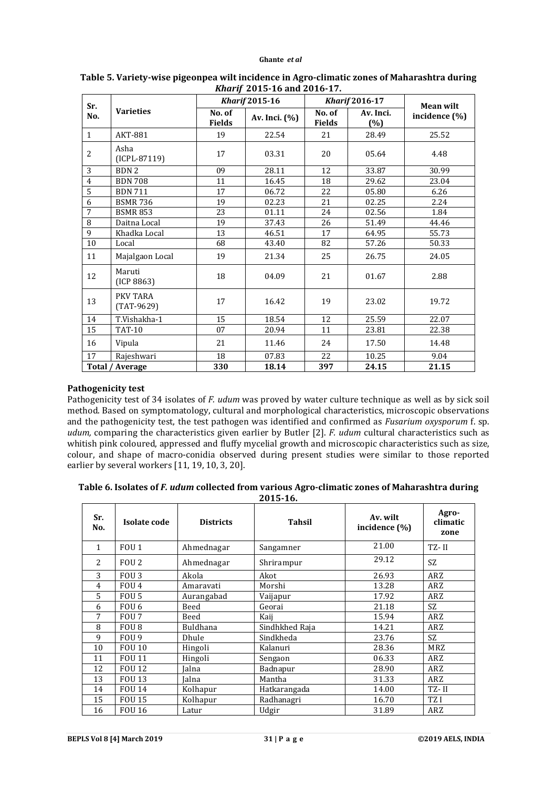|                |                          | <u>Kilui II 2019-10 and 2010-17:</u><br><b>Kharif 2015-16</b> |               | <b>Kharif 2016-17</b>   |                     |                                   |  |
|----------------|--------------------------|---------------------------------------------------------------|---------------|-------------------------|---------------------|-----------------------------------|--|
| Sr.<br>No.     | <b>Varieties</b>         | No. of<br><b>Fields</b>                                       | Av. Inci. (%) | No. of<br><b>Fields</b> | Av. Inci.<br>$(\%)$ | <b>Mean wilt</b><br>incidence (%) |  |
| 1              | AKT-881                  | 19                                                            | 22.54         | 21                      | 28.49               | 25.52                             |  |
| $\overline{c}$ | Asha<br>(ICPL-87119)     | 17                                                            | 03.31         | 20                      | 05.64               | 4.48                              |  |
| 3              | BDN <sub>2</sub>         | 09                                                            | 28.11         | 12                      | 33.87               | 30.99                             |  |
| $\overline{4}$ | <b>BDN 708</b>           | 11                                                            | 16.45         | 18                      | 29.62               | 23.04                             |  |
| 5              | <b>BDN 711</b>           | 17                                                            | 06.72         | 22                      | 05.80               | 6.26                              |  |
| 6              | <b>BSMR 736</b>          | 19                                                            | 02.23         | 21                      | 02.25               | 2.24                              |  |
| 7              | <b>BSMR 853</b>          | 23                                                            | 01.11         | 24                      | 02.56               | 1.84                              |  |
| 8              | Daitna Local             | 19                                                            | 37.43         | 26                      | 51.49               | 44.46                             |  |
| 9              | Khadka Local             | 13                                                            | 46.51         | 17                      | 64.95               | 55.73                             |  |
| 10             | Local                    | 68                                                            | 43.40         | 82                      | 57.26               | 50.33                             |  |
| 11             | Majalgaon Local          | 19                                                            | 21.34         | 25                      | 26.75               | 24.05                             |  |
| 12             | Maruti<br>(ICP 8863)     | 18                                                            | 04.09         | 21                      | 01.67               | 2.88                              |  |
| 13             | PKV TARA<br>$(TAT-9629)$ | 17                                                            | 16.42         | 19                      | 23.02               | 19.72                             |  |
| 14             | T.Vishakha-1             | 15                                                            | 18.54         | 12                      | 25.59               | 22.07                             |  |
| 15             | <b>TAT-10</b>            | 07                                                            | 20.94         | 11                      | 23.81               | 22.38                             |  |
| 16             | Vipula                   | 21                                                            | 11.46         | 24                      | 17.50               | 14.48                             |  |
| 17             | Rajeshwari               | 18                                                            | 07.83         | 22                      | 10.25               | 9.04                              |  |
|                | Total / Average          | 330                                                           | 18.14         | 397                     | 24.15               | 21.15                             |  |

## **Table 5. Variety-wise pigeonpea wilt incidence in Agro-climatic zones of Maharashtra during**  *Kharif* **2015-16 and 2016-17.**

# **Pathogenicity test**

Pathogenicity test of 34 isolates of *F. udum* was proved by water culture technique as well as by sick soil method. Based on symptomatology, cultural and morphological characteristics, microscopic observations and the pathogenicity test, the test pathogen was identified and confirmed as *Fusarium oxysporum* f. sp. *udum,* comparing the characteristics given earlier by Butler [2]. *F. udum* cultural characteristics such as whitish pink coloured, appressed and fluffy mycelial growth and microscopic characteristics such as size, colour, and shape of macro-conidia observed during present studies were similar to those reported earlier by several workers [11, 19, 10, 3, 20].

| Table 6. Isolates of <i>F. udum</i> collected from various Agro-climatic zones of Maharashtra during |  |  |
|------------------------------------------------------------------------------------------------------|--|--|
|------------------------------------------------------------------------------------------------------|--|--|

**2015-16.**

| Sr.<br>No. | Isolate code     | <b>Districts</b> | <b>Tahsil</b>  | Av. wilt<br>incidence (%) | Agro-<br>climatic<br>zone |
|------------|------------------|------------------|----------------|---------------------------|---------------------------|
| 1          | FOU <sub>1</sub> | Ahmednagar       | Sangamner      | 21.00                     | TZ-II                     |
| 2          | FOU 2            | Ahmednagar       | Shrirampur     | 29.12                     | SZ.                       |
| 3          | FOU <sub>3</sub> | Akola            | Akot           | 26.93                     | ARZ                       |
| 4          | FOU <sub>4</sub> | Amaravati        | Morshi         | 13.28                     | ARZ                       |
| 5          | FOU <sub>5</sub> | Aurangabad       | Vaijapur       | 17.92                     | ARZ                       |
| 6          | FOU 6            | Beed             | Georai         | 21.18                     | SZ                        |
| 7          | FOU 7            | Beed             | Kaii           | 15.94                     | ARZ                       |
| 8          | FOU <sub>8</sub> | <b>Buldhana</b>  | Sindhkhed Raja | 14.21                     | ARZ                       |
| 9          | FOU 9            | Dhule            | Sindkheda      | 23.76                     | SZ.                       |
| 10         | <b>FOU 10</b>    | Hingoli          | Kalanuri       | 28.36                     | MRZ                       |
| 11         | <b>FOU 11</b>    | Hingoli          | Sengaon        | 06.33                     | ARZ                       |
| 12         | <b>FOU 12</b>    | Ialna            | Badnapur       | 28.90                     | ARZ                       |
| 13         | <b>FOU 13</b>    | Ialna            | Mantha         | 31.33                     | ARZ                       |
| 14         | <b>FOU 14</b>    | Kolhapur         | Hatkarangada   | 14.00                     | TZ-II                     |
| 15         | <b>FOU 15</b>    | Kolhapur         | Radhanagri     | 16.70                     | TZ <sub>I</sub>           |
| 16         | <b>FOU 16</b>    | Latur            | Udgir          | 31.89                     | ARZ                       |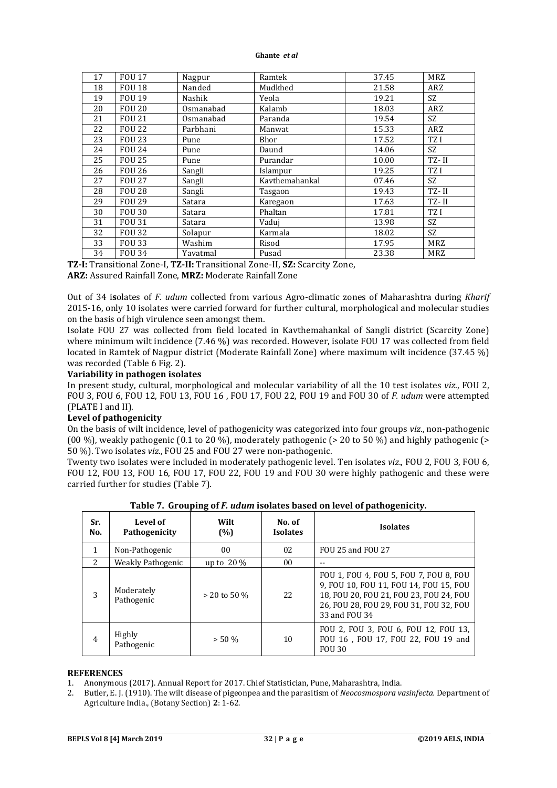| 17 | <b>FOU 17</b> | Nagpur    | Ramtek         | 37.45 | <b>MRZ</b> |
|----|---------------|-----------|----------------|-------|------------|
| 18 | <b>FOU 18</b> | Nanded    | Mudkhed        | 21.58 | ARZ        |
| 19 | <b>FOU 19</b> | Nashik    | Yeola          | 19.21 | SZ.        |
| 20 | <b>FOU 20</b> | Osmanabad | Kalamb         | 18.03 | ARZ        |
| 21 | <b>FOU 21</b> | Osmanabad | Paranda        | 19.54 | <b>SZ</b>  |
| 22 | <b>FOU 22</b> | Parbhani  | Manwat         | 15.33 | ARZ        |
| 23 | <b>FOU 23</b> | Pune      | Bhor           | 17.52 | TZ I       |
| 24 | <b>FOU 24</b> | Pune      | Daund          | 14.06 | SZ.        |
| 25 | <b>FOU 25</b> | Pune      | Purandar       | 10.00 | TZ-II      |
| 26 | <b>FOU 26</b> | Sangli    | Islampur       | 19.25 | TZ I       |
| 27 | <b>FOU 27</b> | Sangli    | Kavthemahankal | 07.46 | SZ.        |
| 28 | <b>FOU 28</b> | Sangli    | Tasgaon        | 19.43 | TZ-II      |
| 29 | <b>FOU 29</b> | Satara    | Karegaon       | 17.63 | TZ-II      |
| 30 | <b>FOU 30</b> | Satara    | Phaltan        | 17.81 | TZ I       |
| 31 | <b>FOU 31</b> | Satara    | Vaduj          | 13.98 | <b>SZ</b>  |
| 32 | <b>FOU 32</b> | Solapur   | Karmala        | 18.02 | SZ.        |
| 33 | <b>FOU 33</b> | Washim    | Risod          | 17.95 | MRZ        |
| 34 | <b>FOU 34</b> | Yavatmal  | Pusad          | 23.38 | MRZ        |

**TZ-I:** Transitional Zone-I, **TZ-II:** Transitional Zone-II, **SZ:** Scarcity Zone, **ARZ:** Assured Rainfall Zone, **MRZ:** Moderate Rainfall Zone

Out of 34 i**s**olates of *F. udum* collected from various Agro-climatic zones of Maharashtra during *Kharif* 2015-16, only 10 isolates were carried forward for further cultural, morphological and molecular studies on the basis of high virulence seen amongst them.

Isolate FOU 27 was collected from field located in Kavthemahankal of Sangli district (Scarcity Zone) where minimum wilt incidence (7.46 %) was recorded. However, isolate FOU 17 was collected from field located in Ramtek of Nagpur district (Moderate Rainfall Zone) where maximum wilt incidence (37.45 %) was recorded (Table 6 Fig. 2).

# **Variability in pathogen isolates**

In present study, cultural, morphological and molecular variability of all the 10 test isolates *viz*., FOU 2, FOU 3, FOU 6, FOU 12, FOU 13, FOU 16 , FOU 17, FOU 22, FOU 19 and FOU 30 of *F. udum* were attempted (PLATE I and II).

# **Level of pathogenicity**

On the basis of wilt incidence, level of pathogenicity was categorized into four groups *viz*., non-pathogenic (00 %), weakly pathogenic (0.1 to 20 %), moderately pathogenic ( $>$  20 to 50 %) and highly pathogenic ( $>$ 50 %). Two isolates *viz*., FOU 25 and FOU 27 were non-pathogenic.

Twenty two isolates were included in moderately pathogenic level. Ten isolates *viz*., FOU 2, FOU 3, FOU 6, FOU 12, FOU 13, FOU 16, FOU 17, FOU 22, FOU 19 and FOU 30 were highly pathogenic and these were carried further for studies (Table 7).

| Sr.<br>No.     | Level of<br>Pathogenicity | Wilt<br>(%)    | No. of<br><b>Isolates</b> | <b>Isolates</b>                                                                                                                                                                         |
|----------------|---------------------------|----------------|---------------------------|-----------------------------------------------------------------------------------------------------------------------------------------------------------------------------------------|
| 1              | Non-Pathogenic            | 0 <sub>0</sub> | 02                        | FOU 25 and FOU 27                                                                                                                                                                       |
| $\overline{2}$ | Weakly Pathogenic         | up to $20\%$   | 0 <sub>0</sub>            |                                                                                                                                                                                         |
| 3              | Moderately<br>Pathogenic  | $>$ 20 to 50 % | 2.2 <sub>1</sub>          | FOU 1, FOU 4, FOU 5, FOU 7, FOU 8, FOU<br>9, FOU 10, FOU 11, FOU 14, FOU 15, FOU<br>18, FOU 20, FOU 21, FOU 23, FOU 24, FOU<br>26, FOU 28, FOU 29, FOU 31, FOU 32, FOU<br>33 and FOU 34 |
| $\overline{4}$ | Highly<br>Pathogenic      | $> 50 \%$      | 10                        | FOU 2, FOU 3, FOU 6, FOU 12, FOU 13,<br>FOU 16, FOU 17, FOU 22, FOU 19 and<br><b>FOU 30</b>                                                                                             |

**Table 7. Grouping of** *F. udum* **isolates based on level of pathogenicity.**

# **REFERENCES**

1. Anonymous (2017). Annual Report for 2017. Chief Statistician, Pune, Maharashtra, India.

2. Butler, E. J. (1910). The wilt disease of pigeonpea and the parasitism of *Neocosmospora vasinfecta.* Department of Agriculture India., (Botany Section) **2**: 1-62.